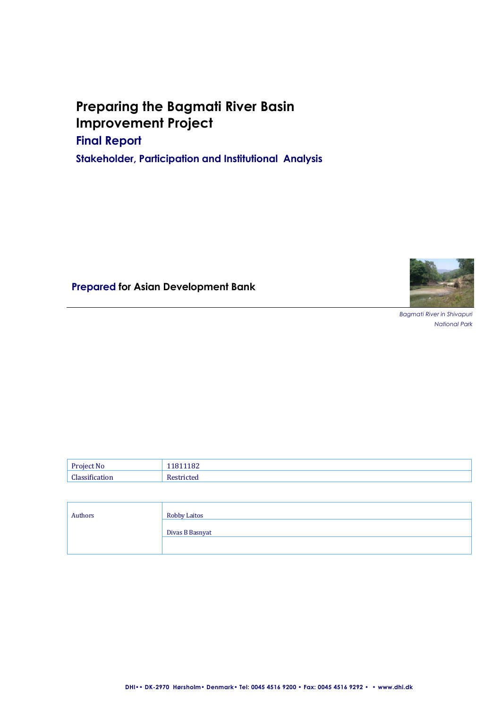# **Preparing the Bagmati River Basin Improvement Project**

**Final Report** 

**Stakeholder, Participation and Institutional Analysis** 

**Prepared for Asian Development Bank**



*Bagmati River in Shivapuri National Park*

| Authors | Robby Laitos    |
|---------|-----------------|
|         | Divas B Basnyat |
|         |                 |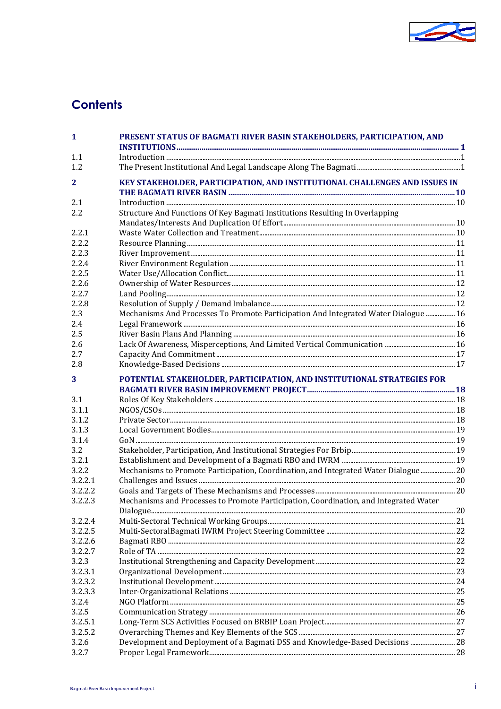

# **Contents**

| 1              | PRESENT STATUS OF BAGMATI RIVER BASIN STAKEHOLDERS, PARTICIPATION, AND                |  |
|----------------|---------------------------------------------------------------------------------------|--|
| 1.1            |                                                                                       |  |
| 1.2            |                                                                                       |  |
| $\mathbf{2}$   | KEY STAKEHOLDER, PARTICIPATION, AND INSTITUTIONAL CHALLENGES AND ISSUES IN            |  |
|                |                                                                                       |  |
| 2.1            |                                                                                       |  |
| 2.2            | Structure And Functions Of Key Bagmati Institutions Resulting In Overlapping          |  |
|                |                                                                                       |  |
| 2.2.1          |                                                                                       |  |
| 2.2.2          |                                                                                       |  |
| 2.2.3          |                                                                                       |  |
| 2.2.4          |                                                                                       |  |
| 2.2.5          |                                                                                       |  |
| 2.2.6<br>2.2.7 |                                                                                       |  |
| 2.2.8          |                                                                                       |  |
| 2.3            | Mechanisms And Processes To Promote Participation And Integrated Water Dialogue  16   |  |
| 2.4            |                                                                                       |  |
| 2.5            |                                                                                       |  |
| 2.6            |                                                                                       |  |
| 2.7            |                                                                                       |  |
| 2.8            |                                                                                       |  |
| 3              | POTENTIAL STAKEHOLDER, PARTICIPATION, AND INSTITUTIONAL STRATEGIES FOR                |  |
| 3.1            |                                                                                       |  |
| 3.1.1          |                                                                                       |  |
| 3.1.2          |                                                                                       |  |
| 3.1.3          |                                                                                       |  |
| 3.1.4          |                                                                                       |  |
| 3.2            |                                                                                       |  |
| 3.2.1<br>3.2.2 | Mechanisms to Promote Participation, Coordination, and Integrated Water Dialogue 20   |  |
| 3.2.2.1        |                                                                                       |  |
| 3.2.2.2        |                                                                                       |  |
| 3.2.2.3        | Mechanisms and Processes to Promote Participation, Coordination, and Integrated Water |  |
|                |                                                                                       |  |
| 3.2.2.4        |                                                                                       |  |
| 3.2.2.5        |                                                                                       |  |
| 3.2.2.6        |                                                                                       |  |
| 3.2.2.7        |                                                                                       |  |
| 3.2.3          |                                                                                       |  |
| 3.2.3.1        |                                                                                       |  |
| 3.2.3.2        |                                                                                       |  |
| 3.2.3.3        |                                                                                       |  |
| 3.2.4<br>3.2.5 |                                                                                       |  |
| 3.2.5.1        |                                                                                       |  |
| 3.2.5.2        |                                                                                       |  |
| 3.2.6          | Development and Deployment of a Bagmati DSS and Knowledge-Based Decisions  28         |  |
| 3.2.7          |                                                                                       |  |
|                |                                                                                       |  |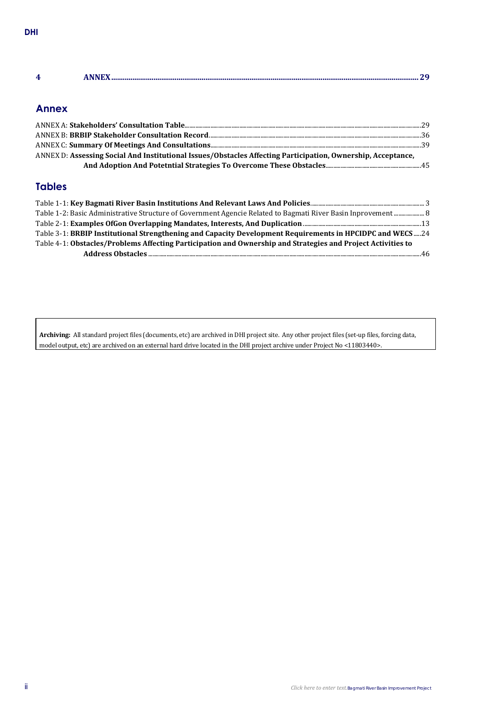| $\overline{\phantom{a}}$<br>$\sim$ |  |
|------------------------------------|--|
|                                    |  |

# **Annex**

| ANNEX D: Assessing Social And Institutional Issues/Obstacles Affecting Participation, Ownership, Acceptance, |  |
|--------------------------------------------------------------------------------------------------------------|--|
|                                                                                                              |  |

# **Tables**

| Table 1-2: Basic Administrative Structure of Government Agencie Related to Bagmati River Basin Inprovement  8 |  |
|---------------------------------------------------------------------------------------------------------------|--|
|                                                                                                               |  |
| Table 3-1: BRBIP Institutional Strengthening and Capacity Development Requirements in HPCIDPC and WECS24      |  |
| Table 4-1: Obstacles/Problems Affecting Participation and Ownership and Strategies and Project Activities to  |  |
|                                                                                                               |  |

**Archiving:** All standard project files (documents, etc) are archived in DHI project site. Any other project files (set-up files, forcing data, model output, etc) are archived on an external hard drive located in the DHI project archive under Project No <11803440>.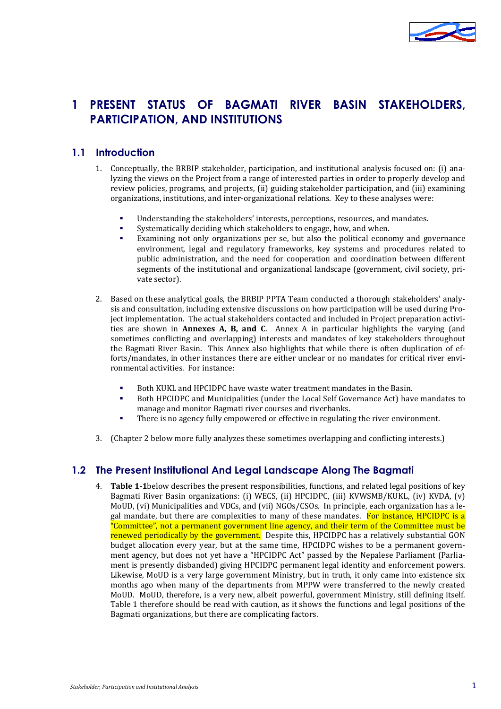

# **1 PRESENT STATUS OF BAGMATI RIVER BASIN STAKEHOLDERS, PARTICIPATION, AND INSTITUTIONS**

# **1.1 Introduction**

- 1. Conceptually, the BRBIP stakeholder, participation, and institutional analysis focused on: (i) analyzing the views on the Project from a range of interested parties in order to properly develop and review policies, programs, and projects, (ii) guiding stakeholder participation, and (iii) examining organizations, institutions, and inter-organizational relations. Key to these analyses were:
	- Understanding the stakeholders' interests, perceptions, resources, and mandates.
	- Systematically deciding which stakeholders to engage, how, and when.
	- Examining not only organizations per se, but also the political economy and governance environment, legal and regulatory frameworks, key systems and procedures related to public administration, and the need for cooperation and coordination between different segments of the institutional and organizational landscape (government, civil society, private sector).
- 2. Based on these analytical goals, the BRBIP PPTA Team conducted a thorough stakeholders' analysis and consultation, including extensive discussions on how participation will be used during Project implementation. The actual stakeholders contacted and included in Project preparation activities are shown in **Annexes A, B, and C**. Annex A in particular highlights the varying (and sometimes conflicting and overlapping) interests and mandates of key stakeholders throughout the Bagmati River Basin. This Annex also highlights that while there is often duplication of efforts/mandates, in other instances there are either unclear or no mandates for critical river environmental activities. For instance:
	- Both KUKL and HPCIDPC have waste water treatment mandates in the Basin.<br>Both HPCIDPC and Municipalities (under the Local Self Governance Act) have
	- Both HPCIDPC and Municipalities (under the Local Self Governance Act) have mandates to manage and monitor Bagmati river courses and riverbanks.
	- There is no agency fully empowered or effective in regulating the river environment.
- 3. (Chapter 2 below more fully analyzes these sometimes overlapping and conflicting interests.)

# **1.2 The Present Institutional And Legal Landscape Along The Bagmati**

4. **[Table 1-1](#page-6-0)**below describes the present responsibilities, functions, and related legal positions of key Bagmati River Basin organizations: (i) WECS, (ii) HPCIDPC, (iii) KVWSMB/KUKL, (iv) KVDA, (v) MoUD, (vi) Municipalities and VDCs, and (vii) NGOs/CSOs. In principle, each organization has a legal mandate, but there are complexities to many of these mandates. For instance, HPCIDPC is a "Committee", not a permanent government line agency, and their term of the Committee must be renewed periodically by the government. Despite this, HPCIDPC has a relatively substantial GON budget allocation every year, but at the same time, HPCIDPC wishes to be a permanent government agency, but does not yet have a "HPCIDPC Act" passed by the Nepalese Parliament (Parliament is presently disbanded) giving HPCIDPC permanent legal identity and enforcement powers. Likewise, MoUD is a very large government Ministry, but in truth, it only came into existence six months ago when many of the departments from MPPW were transferred to the newly created MoUD. MoUD, therefore, is a very new, albeit powerful, government Ministry, still defining itself. Table 1 therefore should be read with caution, as it shows the functions and legal positions of the Bagmati organizations, but there are complicating factors.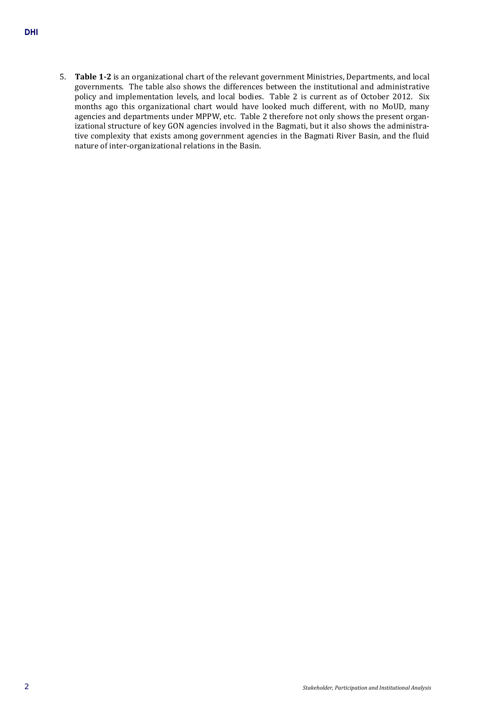5. **[Table 1-2](#page-11-0)** is an organizational chart of the relevant government Ministries, Departments, and local governments. The table also shows the differences between the institutional and administrative policy and implementation levels, and local bodies. Table 2 is current as of October 2012. Six months ago this organizational chart would have looked much different, with no MoUD, many agencies and departments under MPPW, etc. Table 2 therefore not only shows the present organizational structure of key GON agencies involved in the Bagmati, but it also shows the administrative complexity that exists among government agencies in the Bagmati River Basin, and the fluid nature of inter-organizational relations in the Basin.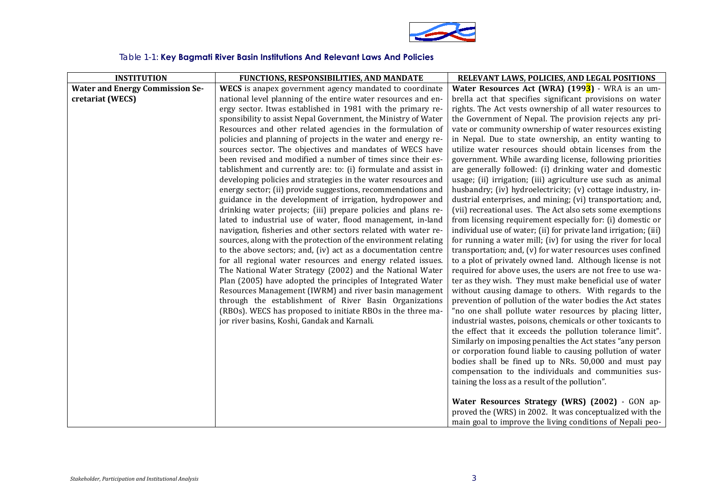

# Table 1-1: **Key Bagmati River Basin Institutions And Relevant Laws And Policies**

<span id="page-6-0"></span>

| <b>INSTITUTION</b>                     | FUNCTIONS, RESPONSIBILITIES, AND MANDATE                                                                                        | RELEVANT LAWS, POLICIES, AND LEGAL POSITIONS                                                                               |
|----------------------------------------|---------------------------------------------------------------------------------------------------------------------------------|----------------------------------------------------------------------------------------------------------------------------|
| <b>Water and Energy Commission Se-</b> | WECS is anapex government agency mandated to coordinate                                                                         | <b>Water Resources Act (WRA) <math>(1993)</math></b> - WRA is an um-                                                       |
| cretariat (WECS)                       | national level planning of the entire water resources and en-                                                                   | brella act that specifies significant provisions on water                                                                  |
|                                        | ergy sector. Itwas established in 1981 with the primary re-                                                                     | rights. The Act vests ownership of all water resources to                                                                  |
|                                        | sponsibility to assist Nepal Government, the Ministry of Water                                                                  | the Government of Nepal. The provision rejects any pri-                                                                    |
|                                        | Resources and other related agencies in the formulation of                                                                      | vate or community ownership of water resources existing                                                                    |
|                                        | policies and planning of projects in the water and energy re-                                                                   | in Nepal. Due to state ownership, an entity wanting to                                                                     |
|                                        | sources sector. The objectives and mandates of WECS have                                                                        | utilize water resources should obtain licenses from the                                                                    |
|                                        | been revised and modified a number of times since their es-                                                                     | government. While awarding license, following priorities                                                                   |
|                                        | tablishment and currently are: to: (i) formulate and assist in                                                                  | are generally followed: (i) drinking water and domestic                                                                    |
|                                        | developing policies and strategies in the water resources and                                                                   | usage; (ii) irrigation; (iii) agriculture use such as animal                                                               |
|                                        | energy sector; (ii) provide suggestions, recommendations and                                                                    | husbandry; (iv) hydroelectricity; (v) cottage industry, in-                                                                |
|                                        | guidance in the development of irrigation, hydropower and                                                                       | dustrial enterprises, and mining; (vi) transportation; and,                                                                |
|                                        | drinking water projects; (iii) prepare policies and plans re-                                                                   | (vii) recreational uses. The Act also sets some exemptions                                                                 |
|                                        | lated to industrial use of water, flood management, in-land                                                                     | from licensing requirement especially for: (i) domestic or                                                                 |
|                                        | navigation, fisheries and other sectors related with water re-                                                                  | individual use of water; (ii) for private land irrigation; (iii)                                                           |
|                                        | sources, along with the protection of the environment relating<br>to the above sectors; and, (iv) act as a documentation centre | for running a water mill; (iv) for using the river for local<br>transportation; and, (v) for water resources uses confined |
|                                        | for all regional water resources and energy related issues.                                                                     | to a plot of privately owned land. Although license is not                                                                 |
|                                        | The National Water Strategy (2002) and the National Water                                                                       | required for above uses, the users are not free to use wa-                                                                 |
|                                        | Plan (2005) have adopted the principles of Integrated Water                                                                     | ter as they wish. They must make beneficial use of water                                                                   |
|                                        | Resources Management (IWRM) and river basin management                                                                          | without causing damage to others. With regards to the                                                                      |
|                                        | through the establishment of River Basin Organizations                                                                          | prevention of pollution of the water bodies the Act states                                                                 |
|                                        | (RBOs). WECS has proposed to initiate RBOs in the three ma-                                                                     | "no one shall pollute water resources by placing litter,                                                                   |
|                                        | jor river basins, Koshi, Gandak and Karnali.                                                                                    | industrial wastes, poisons, chemicals or other toxicants to                                                                |
|                                        |                                                                                                                                 | the effect that it exceeds the pollution tolerance limit".                                                                 |
|                                        |                                                                                                                                 | Similarly on imposing penalties the Act states "any person                                                                 |
|                                        |                                                                                                                                 | or corporation found liable to causing pollution of water                                                                  |
|                                        |                                                                                                                                 | bodies shall be fined up to NRs. 50,000 and must pay                                                                       |
|                                        |                                                                                                                                 | compensation to the individuals and communities sus-                                                                       |
|                                        |                                                                                                                                 | taining the loss as a result of the pollution".                                                                            |
|                                        |                                                                                                                                 |                                                                                                                            |
|                                        |                                                                                                                                 | Water Resources Strategy (WRS) (2002) - GON ap-                                                                            |
|                                        |                                                                                                                                 | proved the (WRS) in 2002. It was conceptualized with the                                                                   |
|                                        |                                                                                                                                 | main goal to improve the living conditions of Nepali peo-                                                                  |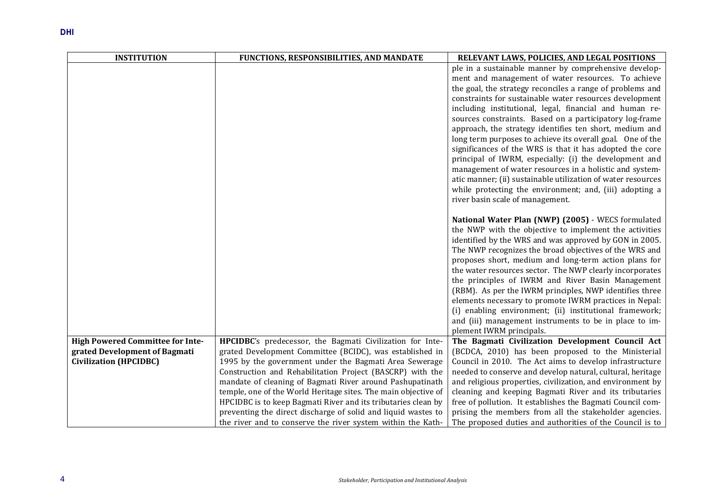| <b>INSTITUTION</b>                      | FUNCTIONS, RESPONSIBILITIES, AND MANDATE                       | RELEVANT LAWS, POLICIES, AND LEGAL POSITIONS                                                                      |
|-----------------------------------------|----------------------------------------------------------------|-------------------------------------------------------------------------------------------------------------------|
|                                         |                                                                | ple in a sustainable manner by comprehensive develop-                                                             |
|                                         |                                                                | ment and management of water resources. To achieve                                                                |
|                                         |                                                                | the goal, the strategy reconciles a range of problems and                                                         |
|                                         |                                                                | constraints for sustainable water resources development                                                           |
|                                         |                                                                | including institutional, legal, financial and human re-                                                           |
|                                         |                                                                | sources constraints. Based on a participatory log-frame                                                           |
|                                         |                                                                | approach, the strategy identifies ten short, medium and                                                           |
|                                         |                                                                | long term purposes to achieve its overall goal. One of the                                                        |
|                                         |                                                                | significances of the WRS is that it has adopted the core                                                          |
|                                         |                                                                | principal of IWRM, especially: (i) the development and<br>management of water resources in a holistic and system- |
|                                         |                                                                | atic manner; (ii) sustainable utilization of water resources                                                      |
|                                         |                                                                | while protecting the environment; and, (iii) adopting a                                                           |
|                                         |                                                                | river basin scale of management.                                                                                  |
|                                         |                                                                |                                                                                                                   |
|                                         |                                                                | National Water Plan (NWP) (2005) - WECS formulated                                                                |
|                                         |                                                                | the NWP with the objective to implement the activities                                                            |
|                                         |                                                                | identified by the WRS and was approved by GON in 2005.                                                            |
|                                         |                                                                | The NWP recognizes the broad objectives of the WRS and                                                            |
|                                         |                                                                | proposes short, medium and long-term action plans for                                                             |
|                                         |                                                                | the water resources sector. The NWP clearly incorporates                                                          |
|                                         |                                                                | the principles of IWRM and River Basin Management                                                                 |
|                                         |                                                                | (RBM). As per the IWRM principles, NWP identifies three                                                           |
|                                         |                                                                | elements necessary to promote IWRM practices in Nepal:<br>(i) enabling environment; (ii) institutional framework; |
|                                         |                                                                | and (iii) management instruments to be in place to im-                                                            |
|                                         |                                                                | plement IWRM principals.                                                                                          |
| <b>High Powered Committee for Inte-</b> | HPCIDBC's predecessor, the Bagmati Civilization for Inte-      | The Bagmati Civilization Development Council Act                                                                  |
| grated Development of Bagmati           | grated Development Committee (BCIDC), was established in       | (BCDCA, 2010) has been proposed to the Ministerial                                                                |
| <b>Civilization (HPCIDBC)</b>           | 1995 by the government under the Bagmati Area Sewerage         | Council in 2010. The Act aims to develop infrastructure                                                           |
|                                         | Construction and Rehabilitation Project (BASCRP) with the      | needed to conserve and develop natural, cultural, heritage                                                        |
|                                         | mandate of cleaning of Bagmati River around Pashupatinath      | and religious properties, civilization, and environment by                                                        |
|                                         | temple, one of the World Heritage sites. The main objective of | cleaning and keeping Bagmati River and its tributaries                                                            |
|                                         | HPCIDBC is to keep Bagmati River and its tributaries clean by  | free of pollution. It establishes the Bagmati Council com-                                                        |
|                                         | preventing the direct discharge of solid and liquid wastes to  | prising the members from all the stakeholder agencies.                                                            |
|                                         | the river and to conserve the river system within the Kath-    | The proposed duties and authorities of the Council is to                                                          |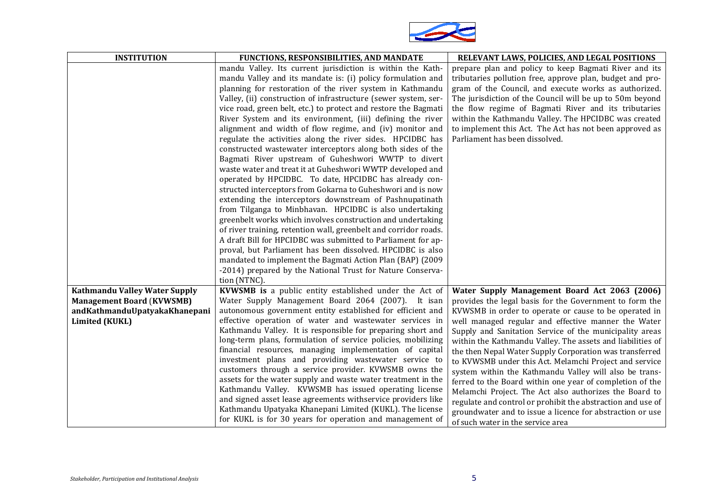

| <b>INSTITUTION</b>                                                                                                   | <b>FUNCTIONS, RESPONSIBILITIES, AND MANDATE</b>                                                                                                                                                                                                                                                                                                                                                                                                                                                                                                                                                                                                                                                                                                                                                                                                                                                                                                                                                                                                                                                                                                                                                                                                                                                                                                    | RELEVANT LAWS, POLICIES, AND LEGAL POSITIONS                                                                                                                                                                                                                                                                                                                                                                                                                                                                                                                                                                                                                                                                                                                                                                            |
|----------------------------------------------------------------------------------------------------------------------|----------------------------------------------------------------------------------------------------------------------------------------------------------------------------------------------------------------------------------------------------------------------------------------------------------------------------------------------------------------------------------------------------------------------------------------------------------------------------------------------------------------------------------------------------------------------------------------------------------------------------------------------------------------------------------------------------------------------------------------------------------------------------------------------------------------------------------------------------------------------------------------------------------------------------------------------------------------------------------------------------------------------------------------------------------------------------------------------------------------------------------------------------------------------------------------------------------------------------------------------------------------------------------------------------------------------------------------------------|-------------------------------------------------------------------------------------------------------------------------------------------------------------------------------------------------------------------------------------------------------------------------------------------------------------------------------------------------------------------------------------------------------------------------------------------------------------------------------------------------------------------------------------------------------------------------------------------------------------------------------------------------------------------------------------------------------------------------------------------------------------------------------------------------------------------------|
|                                                                                                                      | mandu Valley. Its current jurisdiction is within the Kath-<br>mandu Valley and its mandate is: (i) policy formulation and<br>planning for restoration of the river system in Kathmandu<br>Valley, (ii) construction of infrastructure (sewer system, ser-<br>vice road, green belt, etc.) to protect and restore the Bagmati<br>River System and its environment, (iii) defining the river<br>alignment and width of flow regime, and (iv) monitor and<br>regulate the activities along the river sides. HPCIDBC has<br>constructed wastewater interceptors along both sides of the<br>Bagmati River upstream of Guheshwori WWTP to divert<br>waste water and treat it at Guheshwori WWTP developed and<br>operated by HPCIDBC. To date, HPCIDBC has already con-<br>structed interceptors from Gokarna to Guheshwori and is now<br>extending the interceptors downstream of Pashnupatinath<br>from Tilganga to Minbhavan. HPCIDBC is also undertaking<br>greenbelt works which involves construction and undertaking<br>of river training, retention wall, greenbelt and corridor roads.<br>A draft Bill for HPCIDBC was submitted to Parliament for ap-<br>proval, but Parliament has been dissolved. HPCIDBC is also<br>mandated to implement the Bagmati Action Plan (BAP) (2009<br>-2014) prepared by the National Trust for Nature Conserva- | prepare plan and policy to keep Bagmati River and its<br>tributaries pollution free, approve plan, budget and pro-<br>gram of the Council, and execute works as authorized.<br>The jurisdiction of the Council will be up to 50m beyond<br>the flow regime of Bagmati River and its tributaries<br>within the Kathmandu Valley. The HPCIDBC was created<br>to implement this Act. The Act has not been approved as<br>Parliament has been dissolved.                                                                                                                                                                                                                                                                                                                                                                    |
| Kathmandu Valley Water Supply<br><b>Management Board (KVWSMB)</b><br>andKathmanduUpatyakaKhanepani<br>Limited (KUKL) | tion (NTNC).<br>KVWSMB is a public entity established under the Act of<br>Water Supply Management Board 2064 (2007). It isan<br>autonomous government entity established for efficient and<br>effective operation of water and wastewater services in<br>Kathmandu Valley. It is responsible for preparing short and<br>long-term plans, formulation of service policies, mobilizing<br>financial resources, managing implementation of capital<br>investment plans and providing wastewater service to<br>customers through a service provider. KVWSMB owns the<br>assets for the water supply and waste water treatment in the<br>Kathmandu Valley. KVWSMB has issued operating license<br>and signed asset lease agreements withservice providers like<br>Kathmandu Upatyaka Khanepani Limited (KUKL). The license<br>for KUKL is for 30 years for operation and management of                                                                                                                                                                                                                                                                                                                                                                                                                                                                  | Water Supply Management Board Act 2063 (2006)<br>provides the legal basis for the Government to form the<br>KVWSMB in order to operate or cause to be operated in<br>well managed regular and effective manner the Water<br>Supply and Sanitation Service of the municipality areas<br>within the Kathmandu Valley. The assets and liabilities of<br>the then Nepal Water Supply Corporation was transferred<br>to KVWSMB under this Act. Melamchi Project and service<br>system within the Kathmandu Valley will also be trans-<br>ferred to the Board within one year of completion of the<br>Melamchi Project. The Act also authorizes the Board to<br>regulate and control or prohibit the abstraction and use of<br>groundwater and to issue a licence for abstraction or use<br>of such water in the service area |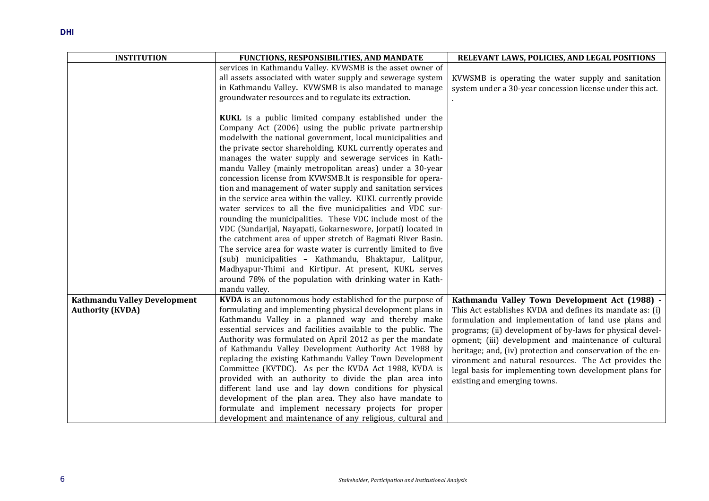| <b>INSTITUTION</b>                                      | FUNCTIONS, RESPONSIBILITIES, AND MANDATE                                                                                                                                                                                                                                                                                                                                                                                                                                                                                                                                                                                                                                                                                                                                                                                                                                                                                                                                                                                                                                                            | RELEVANT LAWS, POLICIES, AND LEGAL POSITIONS                                                                                                                                                                                                                                                                                                                                                                                                                                                                |
|---------------------------------------------------------|-----------------------------------------------------------------------------------------------------------------------------------------------------------------------------------------------------------------------------------------------------------------------------------------------------------------------------------------------------------------------------------------------------------------------------------------------------------------------------------------------------------------------------------------------------------------------------------------------------------------------------------------------------------------------------------------------------------------------------------------------------------------------------------------------------------------------------------------------------------------------------------------------------------------------------------------------------------------------------------------------------------------------------------------------------------------------------------------------------|-------------------------------------------------------------------------------------------------------------------------------------------------------------------------------------------------------------------------------------------------------------------------------------------------------------------------------------------------------------------------------------------------------------------------------------------------------------------------------------------------------------|
|                                                         | services in Kathmandu Valley. KVWSMB is the asset owner of<br>all assets associated with water supply and sewerage system<br>in Kathmandu Valley. KVWSMB is also mandated to manage<br>groundwater resources and to regulate its extraction.                                                                                                                                                                                                                                                                                                                                                                                                                                                                                                                                                                                                                                                                                                                                                                                                                                                        | KVWSMB is operating the water supply and sanitation<br>system under a 30-year concession license under this act.                                                                                                                                                                                                                                                                                                                                                                                            |
|                                                         | KUKL is a public limited company established under the<br>Company Act (2006) using the public private partnership<br>modelwith the national government, local municipalities and<br>the private sector shareholding. KUKL currently operates and<br>manages the water supply and sewerage services in Kath-<br>mandu Valley (mainly metropolitan areas) under a 30-year<br>concession license from KVWSMB.It is responsible for opera-<br>tion and management of water supply and sanitation services<br>in the service area within the valley. KUKL currently provide<br>water services to all the five municipalities and VDC sur-<br>rounding the municipalities. These VDC include most of the<br>VDC (Sundarijal, Nayapati, Gokarneswore, Jorpati) located in<br>the catchment area of upper stretch of Bagmati River Basin.<br>The service area for waste water is currently limited to five<br>(sub) municipalities - Kathmandu, Bhaktapur, Lalitpur,<br>Madhyapur-Thimi and Kirtipur. At present, KUKL serves<br>around 78% of the population with drinking water in Kath-<br>mandu valley. |                                                                                                                                                                                                                                                                                                                                                                                                                                                                                                             |
| Kathmandu Valley Development<br><b>Authority (KVDA)</b> | KVDA is an autonomous body established for the purpose of<br>formulating and implementing physical development plans in<br>Kathmandu Valley in a planned way and thereby make<br>essential services and facilities available to the public. The<br>Authority was formulated on April 2012 as per the mandate<br>of Kathmandu Valley Development Authority Act 1988 by<br>replacing the existing Kathmandu Valley Town Development<br>Committee (KVTDC). As per the KVDA Act 1988, KVDA is<br>provided with an authority to divide the plan area into<br>different land use and lay down conditions for physical<br>development of the plan area. They also have mandate to<br>formulate and implement necessary projects for proper<br>development and maintenance of any religious, cultural and                                                                                                                                                                                                                                                                                                   | Kathmandu Valley Town Development Act (1988) -<br>This Act establishes KVDA and defines its mandate as: (i)<br>formulation and implementation of land use plans and<br>programs; (ii) development of by-laws for physical devel-<br>opment; (iii) development and maintenance of cultural<br>heritage; and, (iv) protection and conservation of the en-<br>vironment and natural resources. The Act provides the<br>legal basis for implementing town development plans for<br>existing and emerging towns. |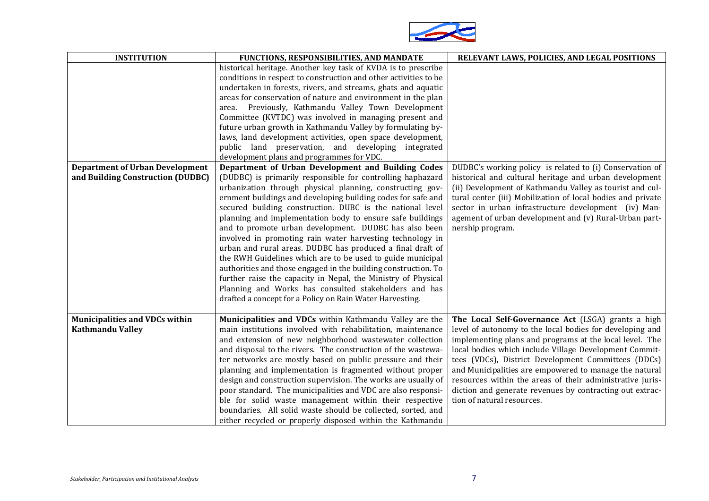

| <b>INSTITUTION</b>                                               | FUNCTIONS, RESPONSIBILITIES, AND MANDATE                                                                                                                                                                                                                                                                                                                                                                                                                                                                                                                                                                                                                                                                                                                                                                                    | RELEVANT LAWS, POLICIES, AND LEGAL POSITIONS                                                                                                                                                                                                                                                                                                                                                                                                                                                                |
|------------------------------------------------------------------|-----------------------------------------------------------------------------------------------------------------------------------------------------------------------------------------------------------------------------------------------------------------------------------------------------------------------------------------------------------------------------------------------------------------------------------------------------------------------------------------------------------------------------------------------------------------------------------------------------------------------------------------------------------------------------------------------------------------------------------------------------------------------------------------------------------------------------|-------------------------------------------------------------------------------------------------------------------------------------------------------------------------------------------------------------------------------------------------------------------------------------------------------------------------------------------------------------------------------------------------------------------------------------------------------------------------------------------------------------|
|                                                                  | historical heritage. Another key task of KVDA is to prescribe<br>conditions in respect to construction and other activities to be<br>undertaken in forests, rivers, and streams, ghats and aquatic<br>areas for conservation of nature and environment in the plan<br>Previously, Kathmandu Valley Town Development<br>area.<br>Committee (KVTDC) was involved in managing present and<br>future urban growth in Kathmandu Valley by formulating by-<br>laws, land development activities, open space development,<br>public land preservation, and developing integrated                                                                                                                                                                                                                                                   |                                                                                                                                                                                                                                                                                                                                                                                                                                                                                                             |
| <b>Department of Urban Development</b>                           | development plans and programmes for VDC.<br>Department of Urban Development and Building Codes                                                                                                                                                                                                                                                                                                                                                                                                                                                                                                                                                                                                                                                                                                                             | DUDBC's working policy is related to (i) Conservation of                                                                                                                                                                                                                                                                                                                                                                                                                                                    |
| and Building Construction (DUDBC)                                | (DUDBC) is primarily responsible for controlling haphazard<br>urbanization through physical planning, constructing gov-<br>ernment buildings and developing building codes for safe and<br>secured building construction. DUBC is the national level<br>planning and implementation body to ensure safe buildings<br>and to promote urban development. DUDBC has also been<br>involved in promoting rain water harvesting technology in<br>urban and rural areas. DUDBC has produced a final draft of<br>the RWH Guidelines which are to be used to guide municipal<br>authorities and those engaged in the building construction. To<br>further raise the capacity in Nepal, the Ministry of Physical<br>Planning and Works has consulted stakeholders and has<br>drafted a concept for a Policy on Rain Water Harvesting. | historical and cultural heritage and urban development<br>(ii) Development of Kathmandu Valley as tourist and cul-<br>tural center (iii) Mobilization of local bodies and private<br>sector in urban infrastructure development (iv) Man-<br>agement of urban development and (v) Rural-Urban part-<br>nership program.                                                                                                                                                                                     |
| <b>Municipalities and VDCs within</b><br><b>Kathmandu Valley</b> | Municipalities and VDCs within Kathmandu Valley are the<br>main institutions involved with rehabilitation, maintenance<br>and extension of new neighborhood wastewater collection<br>and disposal to the rivers. The construction of the wastewa-<br>ter networks are mostly based on public pressure and their<br>planning and implementation is fragmented without proper<br>design and construction supervision. The works are usually of<br>poor standard. The municipalities and VDC are also responsi-<br>ble for solid waste management within their respective<br>boundaries. All solid waste should be collected, sorted, and<br>either recycled or properly disposed within the Kathmandu                                                                                                                         | The Local Self-Governance Act (LSGA) grants a high<br>level of autonomy to the local bodies for developing and<br>implementing plans and programs at the local level. The<br>local bodies which include Village Development Commit-<br>tees (VDCs), District Development Committees (DDCs)<br>and Municipalities are empowered to manage the natural<br>resources within the areas of their administrative juris-<br>diction and generate revenues by contracting out extrac-<br>tion of natural resources. |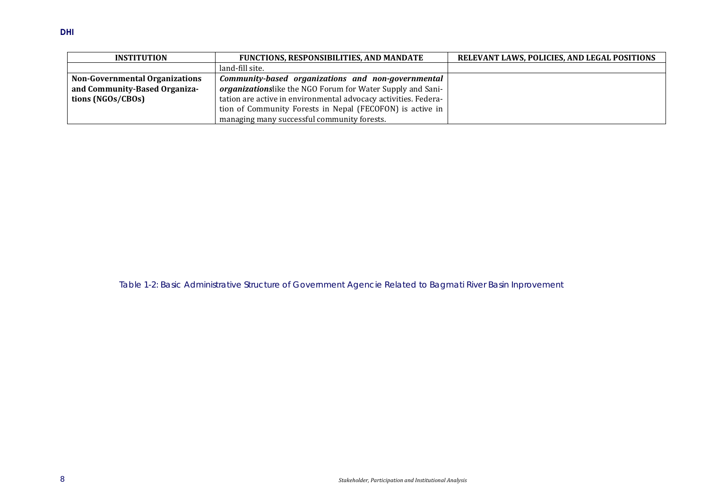| <b>INSTITUTION</b>                    | <b>FUNCTIONS, RESPONSIBILITIES, AND MANDATE</b>                 | <b>RELEVANT LAWS, POLICIES, AND LEGAL POSITIONS</b> |
|---------------------------------------|-----------------------------------------------------------------|-----------------------------------------------------|
|                                       | land-fill site.                                                 |                                                     |
| <b>Non-Governmental Organizations</b> | Community-based organizations and non-governmental              |                                                     |
| and Community-Based Organiza-         | organizationslike the NGO Forum for Water Supply and Sani-      |                                                     |
| tions (NGOs/CBOs)                     | tation are active in environmental advocacy activities. Federa- |                                                     |
|                                       | tion of Community Forests in Nepal (FECOFON) is active in       |                                                     |
|                                       | managing many successful community forests.                     |                                                     |

<span id="page-11-0"></span>Table 1-2: Basic Administrative Structure of Government Agencie Related to Bagmati River Basin Inprovement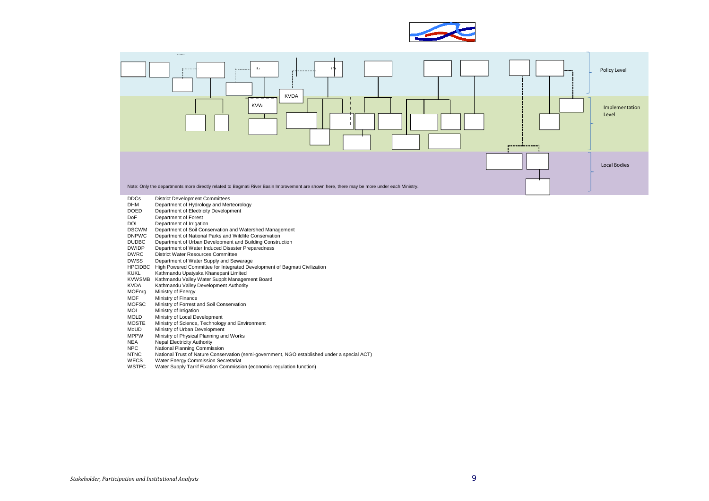



- DDCs District Development Committees<br>
DHM Department of Hydrology and Merry
- DHM Department of Hydrology and Merteorology<br>DOED Department of Electricity Development
- DOED Department of Electricity Development<br>DoF Department of Forest
- DoF Department of Forest<br>DOI Department of Irrigation
- Department of Irrigation
- DSCWM Department of Soil Conservation and Watershed Management
- DNPWC Department of National Parks and Wildlife Conservation
- DUDBC Department of Urban Development and Building Construction
- DWIDP Department of Water Induced Disaster Preparedness
- **DWRC** District Water Resources Committee<br>DWSS Department of Water Supply and Sew
- Department of Water Supply and Sewarage
- HPCIDBC High Powered Committee for Integrated Development of Bagmati Civilization<br>KUKL Kathmandu Upatyaka Khanepani Limited
- Kathmandu Upatyaka Khanepani Limited
- KVWSMB Kathmandu Valley Water Supplt Management Board<br>KVDA Kathmandu Valley Development Authority
- Kathmandu Valley Development Authority
- 
- MOEnrg Ministry of Energy<br>MOF Ministry of Finance MOF Ministry of Finance<br>MOESC Ministry of Forrest a
- MOFSC Ministry of Forrest and Soil Conservation<br>MOI Ministry of Irrigation
- MOI Ministry of Irrigation<br>MOLD Ministry of Local Dev
- 
- MOLD Ministry of Local Development<br>MOSTE Ministry of Science. Technology MOSTE Ministry of Science, Technology and Environment<br>MoUD Ministry of Urban Development
- MoUD Ministry of Urban Development<br>MPPW Ministry of Physical Planning an
- MPPW Ministry of Physical Planning and Works<br>NEA Nepal Electricity Authority
- NEA Nepal Electricity Authority<br>NPC National Planning Commis
- NPC National Planning Commission<br>NTNC National Trust of Nature Conser
- NTNC<br>NTNC National Trust of Nature Conservation (semi-government, NGO established under a special ACT)<br>WECS Water Energy Commission Secretariat
- Water Energy Commission Secretariat
- WSTFC Water Supply Tarrif Fixation Commission (economic regulation function)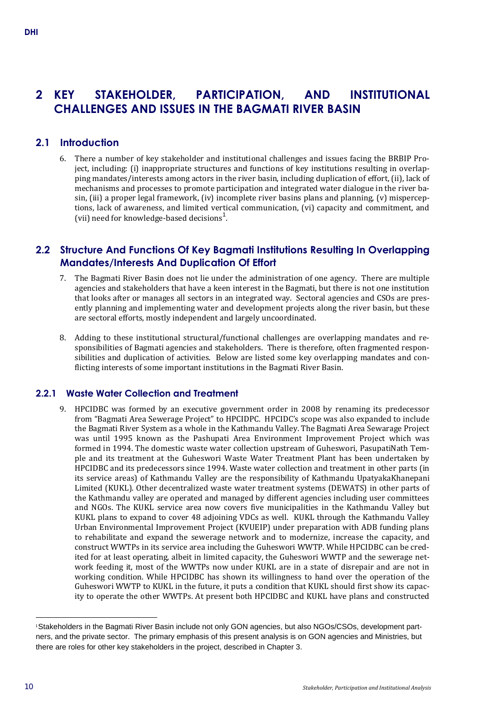# **2 KEY STAKEHOLDER, PARTICIPATION, AND INSTITUTIONAL CHALLENGES AND ISSUES IN THE BAGMATI RIVER BASIN**

# **2.1 Introduction**

6. There a number of key stakeholder and institutional challenges and issues facing the BRBIP Project, including: (i) inappropriate structures and functions of key institutions resulting in overlapping mandates/interests among actors in the river basin, including duplication of effort, (ii), lack of mechanisms and processes to promote participation and integrated water dialogue in the river basin, (iii) a proper legal framework, (iv) incomplete river basins plans and planning, (v) misperceptions, lack of awareness, and limited vertical communication, (vi) capacity and commitment, and (vii) need for knowledge-based decisions<sup>1</sup>.

# **2.2 Structure And Functions Of Key Bagmati Institutions Resulting In Overlapping Mandates/Interests And Duplication Of Effort**

- 7. The Bagmati River Basin does not lie under the administration of one agency. There are multiple agencies and stakeholders that have a keen interest in the Bagmati, but there is not one institution that looks after or manages all sectors in an integrated way. Sectoral agencies and CSOs are presently planning and implementing water and development projects along the river basin, but these are sectoral efforts, mostly independent and largely uncoordinated.
- 8. Adding to these institutional structural/functional challenges are overlapping mandates and responsibilities of Bagmati agencies and stakeholders. There is therefore, often fragmented responsibilities and duplication of activities. Below are listed some key overlapping mandates and conflicting interests of some important institutions in the Bagmati River Basin.

# **2.2.1 Waste Water Collection and Treatment**

9. HPCIDBC was formed by an executive government order in 2008 by renaming its predecessor from "Bagmati Area Sewerage Project" to HPCIDPC. HPCIDC's scope was also expanded to include the Bagmati River System as a whole in the Kathmandu Valley. The Bagmati Area Sewarage Project was until 1995 known as the Pashupati Area Environment Improvement Project which was formed in 1994. The domestic waste water collection upstream of Guheswori, PasupatiNath Temple and its treatment at the Guheswori Waste Water Treatment Plant has been undertaken by HPCIDBC and its predecessors since 1994. Waste water collection and treatment in other parts (in its service areas) of Kathmandu Valley are the responsibility of Kathmandu UpatyakaKhanepani Limited (KUKL). Other decentralized waste water treatment systems (DEWATS) in other parts of the Kathmandu valley are operated and managed by different agencies including user committees and NGOs. The KUKL service area now covers five municipalities in the Kathmandu Valley but KUKL plans to expand to cover 48 adjoining VDCs as well. KUKL through the Kathmandu Valley Urban Environmental Improvement Project (KVUEIP) under preparation with ADB funding plans to rehabilitate and expand the sewerage network and to modernize, increase the capacity, and construct WWTPs in its service area including the Guheswori WWTP. While HPCIDBC can be credited for at least operating, albeit in limited capacity, the Guheswori WWTP and the sewerage network feeding it, most of the WWTPs now under KUKL are in a state of disrepair and are not in working condition. While HPCIDBC has shown its willingness to hand over the operation of the Guheswori WWTP to KUKL in the future, it puts a condition that KUKL should first show its capacity to operate the other WWTPs. At present both HPCIDBC and KUKL have plans and constructed

j 1Stakeholders in the Bagmati River Basin include not only GON agencies, but also NGOs/CSOs, development partners, and the private sector. The primary emphasis of this present analysis is on GON agencies and Ministries, but there are roles for other key stakeholders in the project, described in Chapter 3.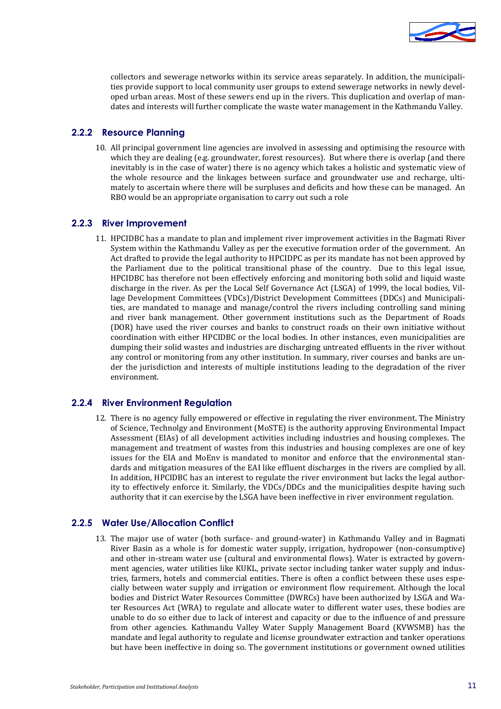

collectors and sewerage networks within its service areas separately. In addition, the municipalities provide support to local community user groups to extend sewerage networks in newly developed urban areas. Most of these sewers end up in the rivers. This duplication and overlap of mandates and interests will further complicate the waste water management in the Kathmandu Valley.

### **2.2.2 Resource Planning**

10. All principal government line agencies are involved in assessing and optimising the resource with which they are dealing (e.g. groundwater, forest resources). But where there is overlap (and there inevitably is in the case of water) there is no agency which takes a holistic and systematic view of the whole resource and the linkages between surface and groundwater use and recharge, ultimately to ascertain where there will be surpluses and deficits and how these can be managed. An RBO would be an appropriate organisation to carry out such a role

#### **2.2.3 River Improvement**

11. HPCIDBC has a mandate to plan and implement river improvement activities in the Bagmati River System within the Kathmandu Valley as per the executive formation order of the government. An Act drafted to provide the legal authority to HPCIDPC as per its mandate has not been approved by the Parliament due to the political transitional phase of the country. Due to this legal issue, HPCIDBC has therefore not been effectively enforcing and monitoring both solid and liquid waste discharge in the river. As per the Local Self Governance Act (LSGA) of 1999, the local bodies, Village Development Committees (VDCs)/District Development Committees (DDCs) and Municipalities, are mandated to manage and manage/control the rivers including controlling sand mining and river bank management. Other government institutions such as the Department of Roads (DOR) have used the river courses and banks to construct roads on their own initiative without coordination with either HPCIDBC or the local bodies. In other instances, even municipalities are dumping their solid wastes and industries are discharging untreated effluents in the river without any control or monitoring from any other institution. In summary, river courses and banks are under the jurisdiction and interests of multiple institutions leading to the degradation of the river environment.

#### **2.2.4 River Environment Regulation**

12. There is no agency fully empowered or effective in regulating the river environment. The Ministry of Science, Technolgy and Environment (MoSTE) is the authority approving Environmental Impact Assessment (EIAs) of all development activities including industries and housing complexes. The management and treatment of wastes from this industries and housing complexes are one of key issues for the EIA and MoEnv is mandated to monitor and enforce that the environmental standards and mitigation measures of the EAI like effluent discharges in the rivers are complied by all. In addition, HPCIDBC has an interest to regulate the river environment but lacks the legal authority to effectively enforce it. Similarly, the VDCs/DDCs and the municipalities despite having such authority that it can exercise by the LSGA have been ineffective in river environment regulation.

#### **2.2.5 Water Use/Allocation Conflict**

13. The major use of water (both surface- and ground-water) in Kathmandu Valley and in Bagmati River Basin as a whole is for domestic water supply, irrigation, hydropower (non-consumptive) and other in-stream water use (cultural and environmental flows). Water is extracted by government agencies, water utilities like KUKL, private sector including tanker water supply and industries, farmers, hotels and commercial entities. There is often a conflict between these uses especially between water supply and irrigation or environment flow requirement. Although the local bodies and District Water Resources Committee (DWRCs) have been authorized by LSGA and Water Resources Act (WRA) to regulate and allocate water to different water uses, these bodies are unable to do so either due to lack of interest and capacity or due to the influence of and pressure from other agencies. Kathmandu Valley Water Supply Management Board (KVWSMB) has the mandate and legal authority to regulate and license groundwater extraction and tanker operations but have been ineffective in doing so. The government institutions or government owned utilities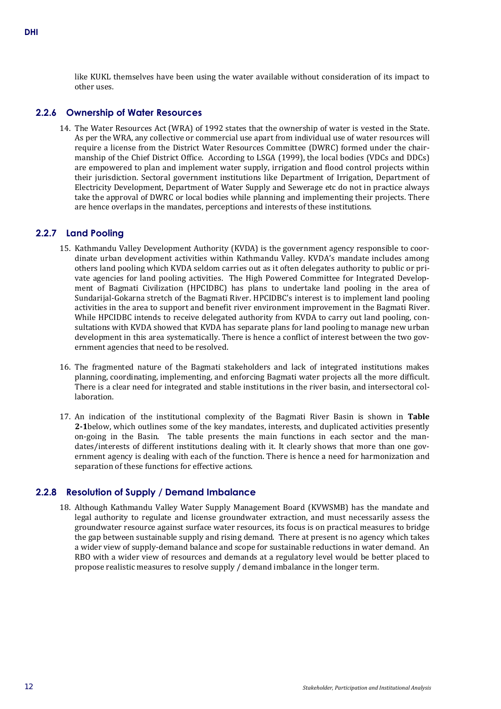like KUKL themselves have been using the water available without consideration of its impact to other uses.

#### **2.2.6 Ownership of Water Resources**

14. The Water Resources Act (WRA) of 1992 states that the ownership of water is vested in the State. As per the WRA, any collective or commercial use apart from individual use of water resources will require a license from the District Water Resources Committee (DWRC) formed under the chairmanship of the Chief District Office. According to LSGA (1999), the local bodies (VDCs and DDCs) are empowered to plan and implement water supply, irrigation and flood control projects within their jurisdiction. Sectoral government institutions like Department of Irrigation, Department of Electricity Development, Department of Water Supply and Sewerage etc do not in practice always take the approval of DWRC or local bodies while planning and implementing their projects. There are hence overlaps in the mandates, perceptions and interests of these institutions.

#### **2.2.7 Land Pooling**

- 15. Kathmandu Valley Development Authority (KVDA) is the government agency responsible to coordinate urban development activities within Kathmandu Valley. KVDA's mandate includes among others land pooling which KVDA seldom carries out as it often delegates authority to public or private agencies for land pooling activities. The High Powered Committee for Integrated Development of Bagmati Civilization (HPCIDBC) has plans to undertake land pooling in the area of Sundarijal-Gokarna stretch of the Bagmati River. HPCIDBC's interest is to implement land pooling activities in the area to support and benefit river environment improvement in the Bagmati River. While HPCIDBC intends to receive delegated authority from KVDA to carry out land pooling, consultations with KVDA showed that KVDA has separate plans for land pooling to manage new urban development in this area systematically. There is hence a conflict of interest between the two government agencies that need to be resolved.
- 16. The fragmented nature of the Bagmati stakeholders and lack of integrated institutions makes planning, coordinating, implementing, and enforcing Bagmati water projects all the more difficult. There is a clear need for integrated and stable institutions in the river basin, and intersectoral collaboration.
- 17. An indication of the institutional complexity of the Bagmati River Basin is shown in **[Table](#page-16-0)  [2-1](#page-16-0)**below, which outlines some of the key mandates, interests, and duplicated activities presently on-going in the Basin. The table presents the main functions in each sector and the mandates/interests of different institutions dealing with it. It clearly shows that more than one government agency is dealing with each of the function. There is hence a need for harmonization and separation of these functions for effective actions.

#### **2.2.8 Resolution of Supply / Demand Imbalance**

18. Although Kathmandu Valley Water Supply Management Board (KVWSMB) has the mandate and legal authority to regulate and license groundwater extraction, and must necessarily assess the groundwater resource against surface water resources, its focus is on practical measures to bridge the gap between sustainable supply and rising demand. There at present is no agency which takes a wider view of supply-demand balance and scope for sustainable reductions in water demand. An RBO with a wider view of resources and demands at a regulatory level would be better placed to propose realistic measures to resolve supply / demand imbalance in the longer term.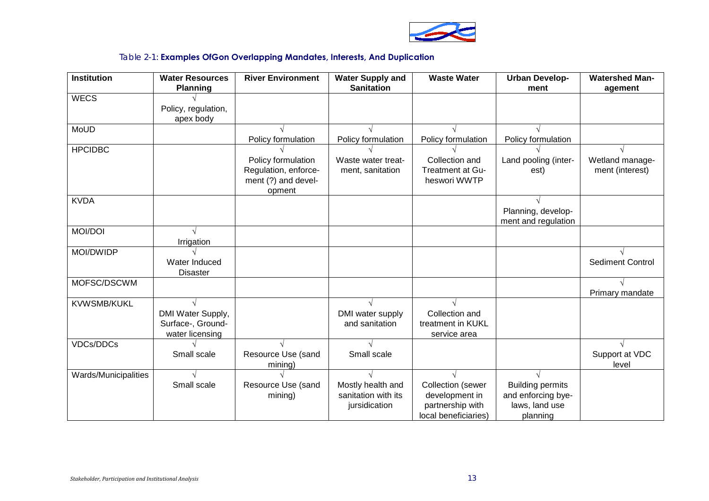

# Table 2-1: **Examples OfGon Overlapping Mandates, Interests, And Duplication**

<span id="page-16-0"></span>

| <b>Institution</b>   | <b>Water Resources</b><br><b>Planning</b>                 | <b>River Environment</b>                                          | <b>Water Supply and</b><br><b>Sanitation</b>              | <b>Waste Water</b>                                                                     | <b>Urban Develop-</b><br>ment                                               | <b>Watershed Man-</b><br>agement   |
|----------------------|-----------------------------------------------------------|-------------------------------------------------------------------|-----------------------------------------------------------|----------------------------------------------------------------------------------------|-----------------------------------------------------------------------------|------------------------------------|
| <b>WECS</b>          |                                                           |                                                                   |                                                           |                                                                                        |                                                                             |                                    |
|                      | Policy, regulation,<br>apex body                          |                                                                   |                                                           |                                                                                        |                                                                             |                                    |
| MoUD                 |                                                           |                                                                   |                                                           |                                                                                        |                                                                             |                                    |
|                      |                                                           | Policy formulation                                                | Policy formulation                                        | Policy formulation                                                                     | Policy formulation                                                          |                                    |
| <b>HPCIDBC</b>       |                                                           | Policy formulation<br>Regulation, enforce-<br>ment (?) and devel- | Waste water treat-<br>ment, sanitation                    | Collection and<br><b>Treatment at Gu-</b><br>heswori WWTP                              | Land pooling (inter-<br>est)                                                | Wetland manage-<br>ment (interest) |
|                      |                                                           | opment                                                            |                                                           |                                                                                        |                                                                             |                                    |
| <b>KVDA</b>          |                                                           |                                                                   |                                                           |                                                                                        | Planning, develop-<br>ment and regulation                                   |                                    |
| <b>MOI/DOI</b>       |                                                           |                                                                   |                                                           |                                                                                        |                                                                             |                                    |
|                      | Irrigation                                                |                                                                   |                                                           |                                                                                        |                                                                             |                                    |
| MOI/DWIDP            | Water Induced<br><b>Disaster</b>                          |                                                                   |                                                           |                                                                                        |                                                                             | <b>Sediment Control</b>            |
| MOFSC/DSCWM          |                                                           |                                                                   |                                                           |                                                                                        |                                                                             | Primary mandate                    |
| <b>KVWSMB/KUKL</b>   |                                                           |                                                                   |                                                           |                                                                                        |                                                                             |                                    |
|                      | DMI Water Supply,<br>Surface-, Ground-<br>water licensing |                                                                   | DMI water supply<br>and sanitation                        | Collection and<br>treatment in KUKL<br>service area                                    |                                                                             |                                    |
| <b>VDCs/DDCs</b>     |                                                           |                                                                   |                                                           |                                                                                        |                                                                             |                                    |
|                      | Small scale                                               | Resource Use (sand<br>mining)                                     | Small scale                                               |                                                                                        |                                                                             | Support at VDC<br>level            |
| Wards/Municipalities |                                                           |                                                                   |                                                           |                                                                                        |                                                                             |                                    |
|                      | Small scale                                               | Resource Use (sand<br>mining)                                     | Mostly health and<br>sanitation with its<br>jursidication | <b>Collection</b> (sewer<br>development in<br>partnership with<br>local beneficiaries) | <b>Building permits</b><br>and enforcing bye-<br>laws, land use<br>planning |                                    |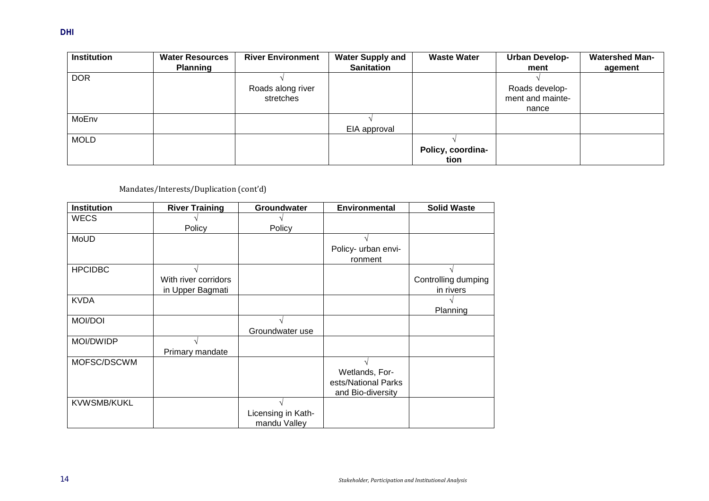| <b>Institution</b> | <b>Water Resources</b> | <b>River Environment</b> | <b>Water Supply and</b> | <b>Waste Water</b> | <b>Urban Develop-</b> | <b>Watershed Man-</b> |
|--------------------|------------------------|--------------------------|-------------------------|--------------------|-----------------------|-----------------------|
|                    | <b>Planning</b>        |                          | <b>Sanitation</b>       |                    | ment                  | agement               |
| <b>DOR</b>         |                        |                          |                         |                    |                       |                       |
|                    |                        | Roads along river        |                         |                    | Roads develop-        |                       |
|                    |                        | stretches                |                         |                    | ment and mainte-      |                       |
|                    |                        |                          |                         |                    | nance                 |                       |
| MoEnv              |                        |                          |                         |                    |                       |                       |
|                    |                        |                          | EIA approval            |                    |                       |                       |
| <b>MOLD</b>        |                        |                          |                         |                    |                       |                       |
|                    |                        |                          |                         | Policy, coordina-  |                       |                       |
|                    |                        |                          |                         | tion               |                       |                       |

# Mandates/Interests/Duplication (cont'd)

| <b>Institution</b> | <b>River Training</b> | Groundwater        | <b>Environmental</b> | <b>Solid Waste</b>  |
|--------------------|-----------------------|--------------------|----------------------|---------------------|
| <b>WECS</b>        |                       |                    |                      |                     |
|                    | Policy                | Policy             |                      |                     |
| MoUD               |                       |                    |                      |                     |
|                    |                       |                    | Policy- urban envi-  |                     |
|                    |                       |                    | ronment              |                     |
| <b>HPCIDBC</b>     |                       |                    |                      |                     |
|                    | With river corridors  |                    |                      | Controlling dumping |
|                    | in Upper Bagmati      |                    |                      | in rivers           |
| <b>KVDA</b>        |                       |                    |                      |                     |
|                    |                       |                    |                      | Planning            |
| <b>MOI/DOI</b>     |                       |                    |                      |                     |
|                    |                       | Groundwater use    |                      |                     |
| MOI/DWIDP          |                       |                    |                      |                     |
|                    | Primary mandate       |                    |                      |                     |
| MOFSC/DSCWM        |                       |                    |                      |                     |
|                    |                       |                    | Wetlands, For-       |                     |
|                    |                       |                    | ests/National Parks  |                     |
|                    |                       |                    | and Bio-diversity    |                     |
| <b>KVWSMB/KUKL</b> |                       |                    |                      |                     |
|                    |                       | Licensing in Kath- |                      |                     |
|                    |                       | mandu Valley       |                      |                     |

**DHI**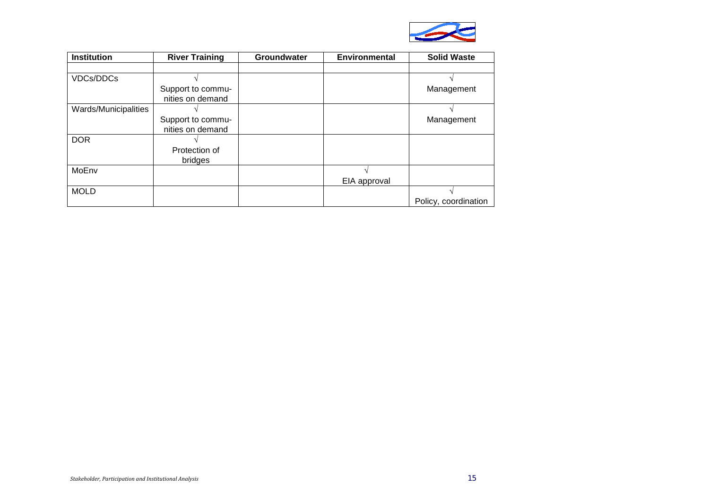

| <b>Institution</b>   | <b>River Training</b> | Groundwater | <b>Environmental</b> | <b>Solid Waste</b>   |
|----------------------|-----------------------|-------------|----------------------|----------------------|
|                      |                       |             |                      |                      |
| <b>VDCs/DDCs</b>     |                       |             |                      |                      |
|                      | Support to commu-     |             |                      | Management           |
|                      | nities on demand      |             |                      |                      |
| Wards/Municipalities |                       |             |                      |                      |
|                      | Support to commu-     |             |                      | Management           |
|                      | nities on demand      |             |                      |                      |
| <b>DOR</b>           |                       |             |                      |                      |
|                      | Protection of         |             |                      |                      |
|                      | bridges               |             |                      |                      |
| MoEnv                |                       |             |                      |                      |
|                      |                       |             | EIA approval         |                      |
| <b>MOLD</b>          |                       |             |                      |                      |
|                      |                       |             |                      | Policy, coordination |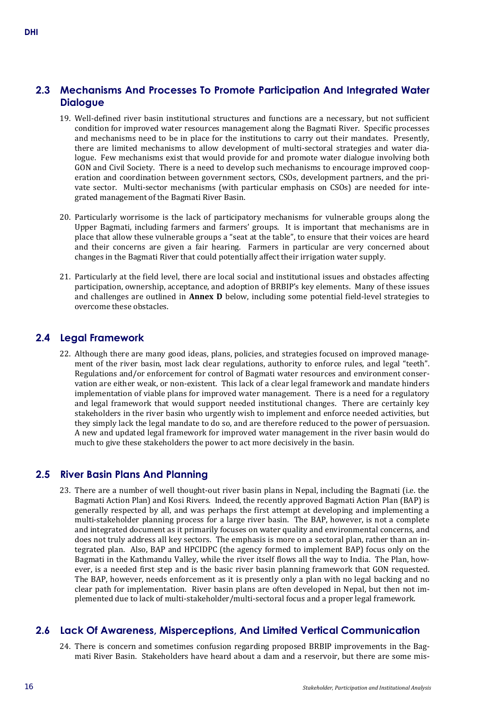# **2.3 Mechanisms And Processes To Promote Participation And Integrated Water Dialogue**

- 19. Well-defined river basin institutional structures and functions are a necessary, but not sufficient condition for improved water resources management along the Bagmati River. Specific processes and mechanisms need to be in place for the institutions to carry out their mandates. Presently, there are limited mechanisms to allow development of multi-sectoral strategies and water dialogue. Few mechanisms exist that would provide for and promote water dialogue involving both GON and Civil Society. There is a need to develop such mechanisms to encourage improved cooperation and coordination between government sectors, CSOs, development partners, and the private sector. Multi-sector mechanisms (with particular emphasis on CSOs) are needed for integrated management of the Bagmati River Basin.
- 20. Particularly worrisome is the lack of participatory mechanisms for vulnerable groups along the Upper Bagmati, including farmers and farmers' groups. It is important that mechanisms are in place that allow these vulnerable groups a "seat at the table", to ensure that their voices are heard and their concerns are given a fair hearing. Farmers in particular are very concerned about changes in the Bagmati River that could potentially affect their irrigation water supply.
- 21. Particularly at the field level, there are local social and institutional issues and obstacles affecting participation, ownership, acceptance, and adoption of BRBIP's key elements. Many of these issues and challenges are outlined in **Annex D** below, including some potential field-level strategies to overcome these obstacles.

# **2.4 Legal Framework**

22. Although there are many good ideas, plans, policies, and strategies focused on improved management of the river basin, most lack clear regulations, authority to enforce rules, and legal "teeth". Regulations and/or enforcement for control of Bagmati water resources and environment conservation are either weak, or non-existent. This lack of a clear legal framework and mandate hinders implementation of viable plans for improved water management. There is a need for a regulatory and legal framework that would support needed institutional changes. There are certainly key stakeholders in the river basin who urgently wish to implement and enforce needed activities, but they simply lack the legal mandate to do so, and are therefore reduced to the power of persuasion. A new and updated legal framework for improved water management in the river basin would do much to give these stakeholders the power to act more decisively in the basin.

# **2.5 River Basin Plans And Planning**

23. There are a number of well thought-out river basin plans in Nepal, including the Bagmati (i.e. the Bagmati Action Plan) and Kosi Rivers. Indeed, the recently approved Bagmati Action Plan (BAP) is generally respected by all, and was perhaps the first attempt at developing and implementing a multi-stakeholder planning process for a large river basin. The BAP, however, is not a complete and integrated document as it primarily focuses on water quality and environmental concerns, and does not truly address all key sectors. The emphasis is more on a sectoral plan, rather than an integrated plan. Also, BAP and HPCIDPC (the agency formed to implement BAP) focus only on the Bagmati in the Kathmandu Valley, while the river itself flows all the way to India. The Plan, however, is a needed first step and is the basic river basin planning framework that GON requested. The BAP, however, needs enforcement as it is presently only a plan with no legal backing and no clear path for implementation. River basin plans are often developed in Nepal, but then not implemented due to lack of multi-stakeholder/multi-sectoral focus and a proper legal framework.

# **2.6 Lack Of Awareness, Misperceptions, And Limited Vertical Communication**

24. There is concern and sometimes confusion regarding proposed BRBIP improvements in the Bagmati River Basin. Stakeholders have heard about a dam and a reservoir, but there are some mis-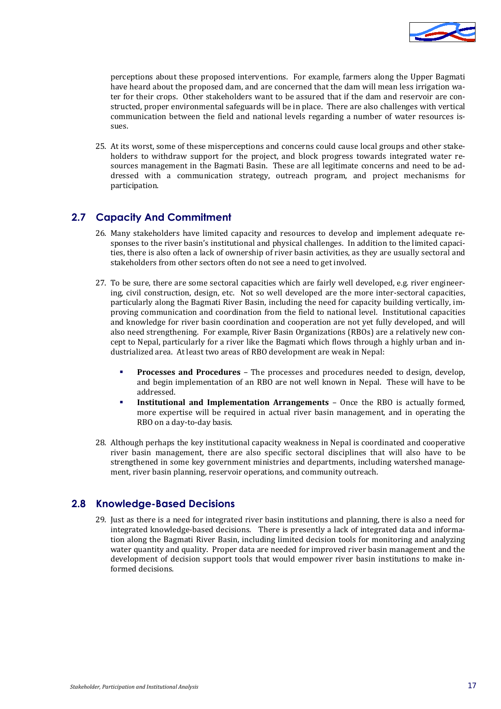

perceptions about these proposed interventions. For example, farmers along the Upper Bagmati have heard about the proposed dam, and are concerned that the dam will mean less irrigation water for their crops. Other stakeholders want to be assured that if the dam and reservoir are constructed, proper environmental safeguards will be in place. There are also challenges with vertical communication between the field and national levels regarding a number of water resources issues.

25. At its worst, some of these misperceptions and concerns could cause local groups and other stakeholders to withdraw support for the project, and block progress towards integrated water resources management in the Bagmati Basin. These are all legitimate concerns and need to be addressed with a communication strategy, outreach program, and project mechanisms for participation.

# **2.7 Capacity And Commitment**

- 26. Many stakeholders have limited capacity and resources to develop and implement adequate responses to the river basin's institutional and physical challenges. In addition to the limited capacities, there is also often a lack of ownership of river basin activities, as they are usually sectoral and stakeholders from other sectors often do not see a need to get involved.
- 27. To be sure, there are some sectoral capacities which are fairly well developed, e.g. river engineering, civil construction, design, etc. Not so well developed are the more inter-sectoral capacities, particularly along the Bagmati River Basin, including the need for capacity building vertically, improving communication and coordination from the field to national level. Institutional capacities and knowledge for river basin coordination and cooperation are not yet fully developed, and will also need strengthening. For example, River Basin Organizations (RBOs) are a relatively new concept to Nepal, particularly for a river like the Bagmati which flows through a highly urban and industrialized area. At least two areas of RBO development are weak in Nepal:
	- **Processes and Procedures** The processes and procedures needed to design, develop, and begin implementation of an RBO are not well known in Nepal. These will have to be addressed.
	- **Institutional and Implementation Arrangements** Once the RBO is actually formed, more expertise will be required in actual river basin management, and in operating the RBO on a day-to-day basis.
- 28. Although perhaps the key institutional capacity weakness in Nepal is coordinated and cooperative river basin management, there are also specific sectoral disciplines that will also have to be strengthened in some key government ministries and departments, including watershed management, river basin planning, reservoir operations, and community outreach.

# **2.8 Knowledge-Based Decisions**

29. Just as there is a need for integrated river basin institutions and planning, there is also a need for integrated knowledge-based decisions. There is presently a lack of integrated data and information along the Bagmati River Basin, including limited decision tools for monitoring and analyzing water quantity and quality. Proper data are needed for improved river basin management and the development of decision support tools that would empower river basin institutions to make informed decisions.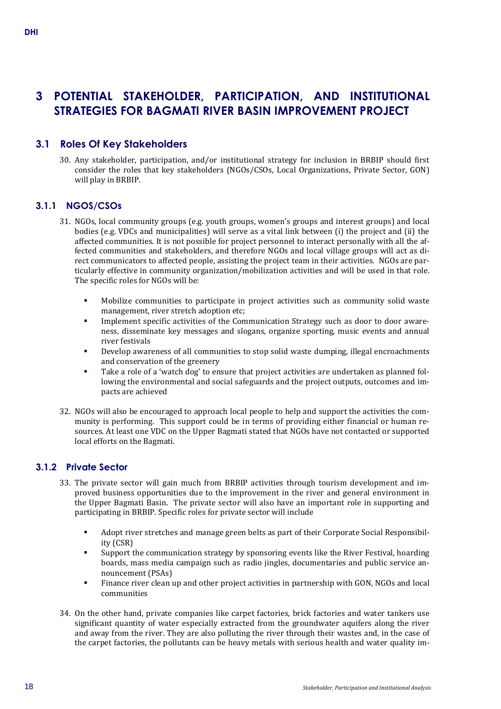# **3 POTENTIAL STAKEHOLDER, PARTICIPATION, AND INSTITUTIONAL STRATEGIES FOR BAGMATI RIVER BASIN IMPROVEMENT PROJECT**

# **3.1 Roles Of Key Stakeholders**

30. Any stakeholder, participation, and/or institutional strategy for inclusion in BRBIP should first consider the roles that key stakeholders (NGOs/CSOs, Local Organizations, Private Sector, GON) will play in BRBIP.

# **3.1.1 NGOS/CSOs**

- 31. NGOs, local community groups (e.g. youth groups, women's groups and interest groups) and local bodies (e.g. VDCs and municipalities) will serve as a vital link between (i) the project and (ii) the affected communities. It is not possible for project personnel to interact personally with all the affected communities and stakeholders, and therefore NGOs and local village groups will act as direct communicators to affected people, assisting the project team in their activities. NGOs are particularly effective in community organization/mobilization activities and will be used in that role. The specific roles for NGOs will be:
	- Mobilize communities to participate in project activities such as community solid waste management, river stretch adoption etc;
	- Implement specific activities of the Communication Strategy such as door to door awareness, disseminate key messages and slogans, organize sporting, music events and annual river festivals
	- Develop awareness of all communities to stop solid waste dumping, illegal encroachments and conservation of the greenery
	- Take a role of a 'watch dog' to ensure that project activities are undertaken as planned following the environmental and social safeguards and the project outputs, outcomes and impacts are achieved
- 32. NGOs will also be encouraged to approach local people to help and support the activities the community is performing. This support could be in terms of providing either financial or human resources. At least one VDC on the Upper Bagmati stated that NGOs have not contacted or supported local efforts on the Bagmati.

# **3.1.2 Private Sector**

- 33. The private sector will gain much from BRBIP activities through tourism development and improved business opportunities due to the improvement in the river and general environment in the Upper Bagmati Basin. The private sector will also have an important role in supporting and participating in BRBIP. Specific roles for private sector will include
	- Adopt river stretches and manage green belts as part of their Corporate Social Responsibility (CSR)
	- Support the communication strategy by sponsoring events like the River Festival, hoarding boards, mass media campaign such as radio jingles, documentaries and public service announcement (PSAs)
	- Finance river clean up and other project activities in partnership with GON, NGOs and local communities
- 34. On the other hand, private companies like carpet factories, brick factories and water tankers use significant quantity of water especially extracted from the groundwater aquifers along the river and away from the river. They are also polluting the river through their wastes and, in the case of the carpet factories, the pollutants can be heavy metals with serious health and water quality im-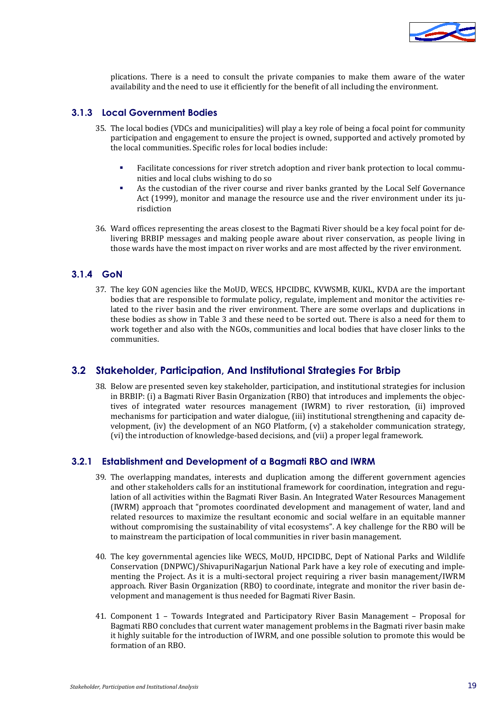

plications. There is a need to consult the private companies to make them aware of the water availability and the need to use it efficiently for the benefit of all including the environment.

#### **3.1.3 Local Government Bodies**

- 35. The local bodies (VDCs and municipalities) will play a key role of being a focal point for community participation and engagement to ensure the project is owned, supported and actively promoted by the local communities. Specific roles for local bodies include:
	- Facilitate concessions for river stretch adoption and river bank protection to local communities and local clubs wishing to do so
	- As the custodian of the river course and river banks granted by the Local Self Governance Act (1999), monitor and manage the resource use and the river environment under its jurisdiction
- 36. Ward offices representing the areas closest to the Bagmati River should be a key focal point for delivering BRBIP messages and making people aware about river conservation, as people living in those wards have the most impact on river works and are most affected by the river environment.

# **3.1.4 GoN**

37. The key GON agencies like the MoUD, WECS, HPCIDBC, KVWSMB, KUKL, KVDA are the important bodies that are responsible to formulate policy, regulate, implement and monitor the activities related to the river basin and the river environment. There are some overlaps and duplications in these bodies as show in Table 3 and these need to be sorted out. There is also a need for them to work together and also with the NGOs, communities and local bodies that have closer links to the communities.

# **3.2 Stakeholder, Participation, And Institutional Strategies For Brbip**

38. Below are presented seven key stakeholder, participation, and institutional strategies for inclusion in BRBIP: (i) a Bagmati River Basin Organization (RBO) that introduces and implements the objectives of integrated water resources management (IWRM) to river restoration, (ii) improved mechanisms for participation and water dialogue, (iii) institutional strengthening and capacity development, (iv) the development of an NGO Platform, (v) a stakeholder communication strategy, (vi) the introduction of knowledge-based decisions, and (vii) a proper legal framework.

#### **3.2.1 Establishment and Development of a Bagmati RBO and IWRM**

- 39. The overlapping mandates, interests and duplication among the different government agencies and other stakeholders calls for an institutional framework for coordination, integration and regulation of all activities within the Bagmati River Basin. An Integrated Water Resources Management (IWRM) approach that "promotes coordinated development and management of water, land and related resources to maximize the resultant economic and social welfare in an equitable manner without compromising the sustainability of vital ecosystems". A key challenge for the RBO will be to mainstream the participation of local communities in river basin management.
- 40. The key governmental agencies like WECS, MoUD, HPCIDBC, Dept of National Parks and Wildlife Conservation (DNPWC)/ShivapuriNagarjun National Park have a key role of executing and implementing the Project. As it is a multi-sectoral project requiring a river basin management/IWRM approach. River Basin Organization (RBO) to coordinate, integrate and monitor the river basin development and management is thus needed for Bagmati River Basin.
- 41. Component 1 Towards Integrated and Participatory River Basin Management Proposal for Bagmati RBO concludes that current water management problems in the Bagmati river basin make it highly suitable for the introduction of IWRM, and one possible solution to promote this would be formation of an RBO.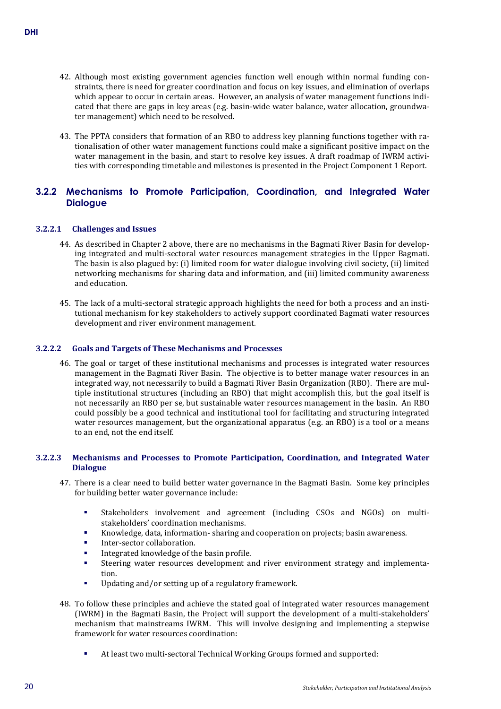- 42. Although most existing government agencies function well enough within normal funding constraints, there is need for greater coordination and focus on key issues, and elimination of overlaps which appear to occur in certain areas. However, an analysis of water management functions indicated that there are gaps in key areas (e.g. basin-wide water balance, water allocation, groundwater management) which need to be resolved.
- 43. The PPTA considers that formation of an RBO to address key planning functions together with rationalisation of other water management functions could make a significant positive impact on the water management in the basin, and start to resolve key issues. A draft roadmap of IWRM activities with corresponding timetable and milestones is presented in the Project Component 1 Report.

# **3.2.2 Mechanisms to Promote Participation, Coordination, and Integrated Water Dialogue**

#### **3.2.2.1 Challenges and Issues**

- 44. As described in Chapter 2 above, there are no mechanisms in the Bagmati River Basin for developing integrated and multi-sectoral water resources management strategies in the Upper Bagmati. The basin is also plagued by: (i) limited room for water dialogue involving civil society, (ii) limited networking mechanisms for sharing data and information, and (iii) limited community awareness and education.
- 45. The lack of a multi-sectoral strategic approach highlights the need for both a process and an institutional mechanism for key stakeholders to actively support coordinated Bagmati water resources development and river environment management.

#### **3.2.2.2 Goals and Targets of These Mechanisms and Processes**

46. The goal or target of these institutional mechanisms and processes is integrated water resources management in the Bagmati River Basin. The objective is to better manage water resources in an integrated way, not necessarily to build a Bagmati River Basin Organization (RBO). There are multiple institutional structures (including an RBO) that might accomplish this, but the goal itself is not necessarily an RBO per se, but sustainable water resources management in the basin. An RBO could possibly be a good technical and institutional tool for facilitating and structuring integrated water resources management, but the organizational apparatus (e.g. an RBO) is a tool or a means to an end, not the end itself.

#### **3.2.2.3 Mechanisms and Processes to Promote Participation, Coordination, and Integrated Water Dialogue**

- 47. There is a clear need to build better water governance in the Bagmati Basin. Some key principles for building better water governance include:
	- Stakeholders involvement and agreement (including CSOs and NGOs) on multistakeholders' coordination mechanisms.
	- Knowledge, data, information- sharing and cooperation on projects; basin awareness.
	- Inter-sector collaboration.
	- Integrated knowledge of the basin profile.
	- Steering water resources development and river environment strategy and implementation.
	- Updating and/or setting up of a regulatory framework.
- 48. To follow these principles and achieve the stated goal of integrated water resources management (IWRM) in the Bagmati Basin, the Project will support the development of a multi-stakeholders' mechanism that mainstreams IWRM. This will involve designing and implementing a stepwise framework for water resources coordination:
	- At least two multi-sectoral Technical Working Groups formed and supported: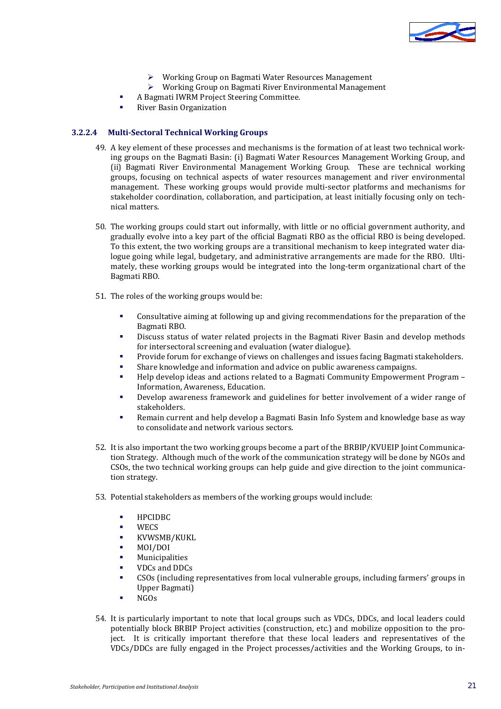

- Working Group on Bagmati Water Resources Management
- Working Group on Bagmati River Environmental Management
- A Bagmati IWRM Project Steering Committee.
- River Basin Organization

#### **3.2.2.4 Multi-Sectoral Technical Working Groups**

- 49. A key element of these processes and mechanisms is the formation of at least two technical working groups on the Bagmati Basin: (i) Bagmati Water Resources Management Working Group, and (ii) Bagmati River Environmental Management Working Group. These are technical working groups, focusing on technical aspects of water resources management and river environmental management. These working groups would provide multi-sector platforms and mechanisms for stakeholder coordination, collaboration, and participation, at least initially focusing only on technical matters.
- 50. The working groups could start out informally, with little or no official government authority, and gradually evolve into a key part of the official Bagmati RBO as the official RBO is being developed. To this extent, the two working groups are a transitional mechanism to keep integrated water dialogue going while legal, budgetary, and administrative arrangements are made for the RBO. Ultimately, these working groups would be integrated into the long-term organizational chart of the Bagmati RBO.
- 51. The roles of the working groups would be:
	- Consultative aiming at following up and giving recommendations for the preparation of the Bagmati RBO.
	- Discuss status of water related projects in the Bagmati River Basin and develop methods for intersectoral screening and evaluation (water dialogue).
	- Provide forum for exchange of views on challenges and issues facing Bagmati stakeholders.
	- Share knowledge and information and advice on public awareness campaigns.
	- Help develop ideas and actions related to a Bagmati Community Empowerment Program Information, Awareness, Education.
	- Develop awareness framework and guidelines for better involvement of a wider range of stakeholders.
	- Remain current and help develop a Bagmati Basin Info System and knowledge base as way to consolidate and network various sectors.
- 52. It is also important the two working groups become a part of the BRBIP/KVUEIP Joint Communication Strategy. Although much of the work of the communication strategy will be done by NGOs and CSOs, the two technical working groups can help guide and give direction to the joint communication strategy.
- 53. Potential stakeholders as members of the working groups would include:
	- HPCIDBC<br>• WECS
	-
	- WECS<br>• KVWS KVWSMB/KUKL<br>• MOL/DOL
	- **MOI/DOI**<br>Municina
	- Municipalities
	- $VDCs$  and DDCs<br> $SOCs$  (including
	- CSOs (including representatives from local vulnerable groups, including farmers' groups in Upper Bagmati)
	- NGOs
- 54. It is particularly important to note that local groups such as VDCs, DDCs, and local leaders could potentially block BRBIP Project activities (construction, etc.) and mobilize opposition to the project. It is critically important therefore that these local leaders and representatives of the VDCs/DDCs are fully engaged in the Project processes/activities and the Working Groups, to in-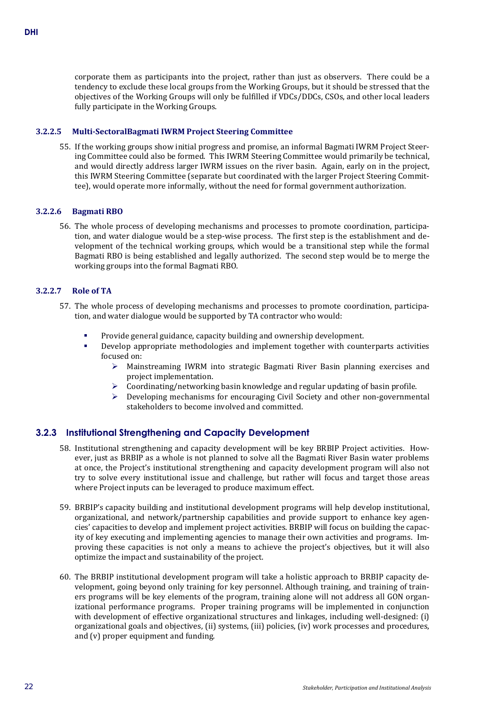corporate them as participants into the project, rather than just as observers. There could be a tendency to exclude these local groups from the Working Groups, but it should be stressed that the objectives of the Working Groups will only be fulfilled if VDCs/DDCs, CSOs, and other local leaders fully participate in the Working Groups.

#### **3.2.2.5 Multi-SectoralBagmati IWRM Project Steering Committee**

55. If the working groups show initial progress and promise, an informal Bagmati IWRM Project Steering Committee could also be formed. This IWRM Steering Committee would primarily be technical, and would directly address larger IWRM issues on the river basin. Again, early on in the project, this IWRM Steering Committee (separate but coordinated with the larger Project Steering Committee), would operate more informally, without the need for formal government authorization.

#### **3.2.2.6 Bagmati RBO**

56. The whole process of developing mechanisms and processes to promote coordination, participation, and water dialogue would be a step-wise process. The first step is the establishment and development of the technical working groups, which would be a transitional step while the formal Bagmati RBO is being established and legally authorized. The second step would be to merge the working groups into the formal Bagmati RBO.

#### **3.2.2.7 Role of TA**

- 57. The whole process of developing mechanisms and processes to promote coordination, participation, and water dialogue would be supported by TA contractor who would:
	- Provide general guidance, capacity building and ownership development.
	- Develop appropriate methodologies and implement together with counterparts activities focused on:<br>Mair
		- Mainstreaming IWRM into strategic Bagmati River Basin planning exercises and project implementation.
		- Coordinating/networking basin knowledge and regular updating of basin profile.
		- $\triangleright$  Developing mechanisms for encouraging Civil Society and other non-governmental stakeholders to become involved and committed.

# **3.2.3 Institutional Strengthening and Capacity Development**

- 58. Institutional strengthening and capacity development will be key BRBIP Project activities. However, just as BRBIP as a whole is not planned to solve all the Bagmati River Basin water problems at once, the Project's institutional strengthening and capacity development program will also not try to solve every institutional issue and challenge, but rather will focus and target those areas where Project inputs can be leveraged to produce maximum effect.
- 59. BRBIP's capacity building and institutional development programs will help develop institutional, organizational, and network/partnership capabilities and provide support to enhance key agencies' capacities to develop and implement project activities. BRBIP will focus on building the capacity of key executing and implementing agencies to manage their own activities and programs. Improving these capacities is not only a means to achieve the project's objectives, but it will also optimize the impact and sustainability of the project.
- 60. The BRBIP institutional development program will take a holistic approach to BRBIP capacity development, going beyond only training for key personnel. Although training, and training of trainers programs will be key elements of the program, training alone will not address all GON organizational performance programs. Proper training programs will be implemented in conjunction with development of effective organizational structures and linkages, including well-designed: (i) organizational goals and objectives, (ii) systems, (iii) policies, (iv) work processes and procedures, and (v) proper equipment and funding.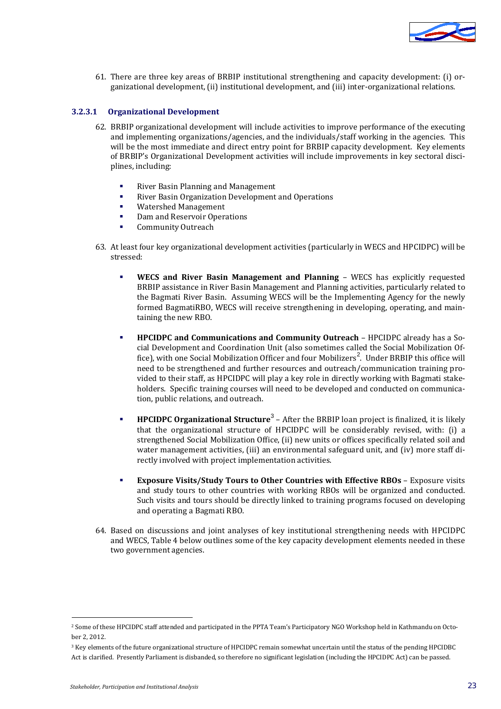

61. There are three key areas of BRBIP institutional strengthening and capacity development: (i) organizational development, (ii) institutional development, and (iii) inter-organizational relations.

#### **3.2.3.1 Organizational Development**

- 62. BRBIP organizational development will include activities to improve performance of the executing and implementing organizations/agencies, and the individuals/staff working in the agencies. This will be the most immediate and direct entry point for BRBIP capacity development. Key elements of BRBIP's Organizational Development activities will include improvements in key sectoral disciplines, including:
	- River Basin Planning and Management
	- **River Basin Organization Development and Operations**<br>**Watershed Management**
	- **Watershed Management**<br>**Bamand Reservoir Oper**
	- Dam and Reservoir Operations
	- Community Outreach
- 63. At least four key organizational development activities (particularly in WECS and HPCIDPC) will be stressed:
	- **WECS and River Basin Management and Planning** WECS has explicitly requested BRBIP assistance in River Basin Management and Planning activities, particularly related to the Bagmati River Basin. Assuming WECS will be the Implementing Agency for the newly formed BagmatiRBO, WECS will receive strengthening in developing, operating, and maintaining the new RBO.
	- **HPCIDPC and Communications and Community Outreach** HPCIDPC already has a Social Development and Coordination Unit (also sometimes called the Social Mobilization Office), with one Social Mobilization Officer and four Mobilizers<sup>2</sup>. Under BRBIP this office will need to be strengthened and further resources and outreach/communication training provided to their staff, as HPCIDPC will play a key role in directly working with Bagmati stakeholders. Specific training courses will need to be developed and conducted on communication, public relations, and outreach.
	- **HPCIDPC Organizational Structure**<sup>3</sup> After the BRBIP loan project is finalized, it is likely that the organizational structure of HPCIDPC will be considerably revised, with: (i) a strengthened Social Mobilization Office, (ii) new units or offices specifically related soil and water management activities, (iii) an environmental safeguard unit, and (iv) more staff directly involved with project implementation activities.
	- **Exposure Visits/Study Tours to Other Countries with Effective RBOs** Exposure visits and study tours to other countries with working RBOs will be organized and conducted. Such visits and tours should be directly linked to training programs focused on developing and operating a Bagmati RBO.
- 64. Based on discussions and joint analyses of key institutional strengthening needs with HPCIDPC and WECS, Table 4 below outlines some of the key capacity development elements needed in these two government agencies.

j

<sup>2</sup> Some of these HPCIDPC staff attended and participated in the PPTA Team's Participatory NGO Workshop held in Kathmandu on October 2, 2012.

<sup>&</sup>lt;sup>3</sup> Key elements of the future organizational structure of HPCIDPC remain somewhat uncertain until the status of the pending HPCIDBC Act is clarified. Presently Parliament is disbanded, so therefore no significant legislation (including the HPCIDPC Act) can be passed.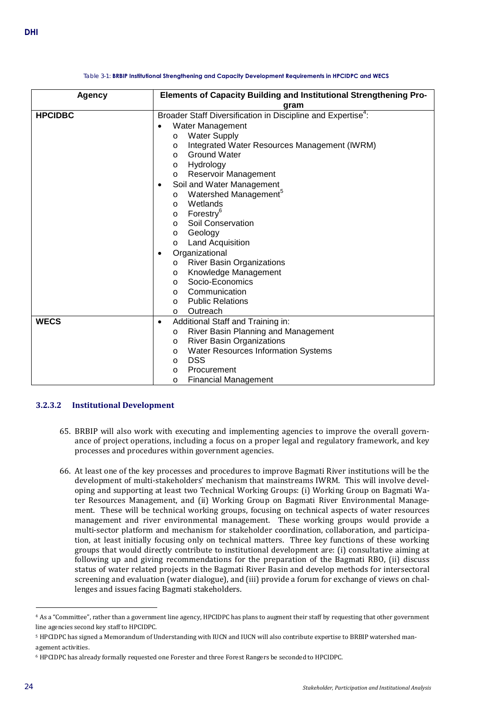<span id="page-27-0"></span>

| <b>Agency</b>  | Elements of Capacity Building and Institutional Strengthening Pro-                                                                                                                                                                                                                                                                                                                                                                                                             |
|----------------|--------------------------------------------------------------------------------------------------------------------------------------------------------------------------------------------------------------------------------------------------------------------------------------------------------------------------------------------------------------------------------------------------------------------------------------------------------------------------------|
|                | gram                                                                                                                                                                                                                                                                                                                                                                                                                                                                           |
| <b>HPCIDBC</b> | Broader Staff Diversification in Discipline and Expertise <sup>4</sup> :<br>Water Management<br><b>Water Supply</b><br>$\circ$<br>Integrated Water Resources Management (IWRM)<br>O<br><b>Ground Water</b><br>$\circ$<br>Hydrology<br>$\circ$<br>Reservoir Management<br>$\circ$                                                                                                                                                                                               |
|                | Soil and Water Management<br>$\bullet$<br>Watershed Management <sup>5</sup><br>$\circ$<br>Wetlands<br>$\circ$<br>Forestry <sup>6</sup><br>$\circ$<br>Soil Conservation<br>$\circ$<br>Geology<br>$\circ$<br>Land Acquisition<br>$\circ$<br>Organizational<br>$\bullet$<br><b>River Basin Organizations</b><br>$\circ$<br>Knowledge Management<br>$\circ$<br>Socio-Economics<br>$\circ$<br>Communication<br>$\circ$<br><b>Public Relations</b><br>$\circ$<br>Outreach<br>$\circ$ |
| <b>WECS</b>    | Additional Staff and Training in:<br>٠<br>River Basin Planning and Management<br>$\circ$<br><b>River Basin Organizations</b><br>$\circ$<br>Water Resources Information Systems<br>$\circ$<br><b>DSS</b><br>$\circ$<br>Procurement<br>$\circ$<br><b>Financial Management</b><br>O                                                                                                                                                                                               |

#### Table 3-1: **BRBIP Institutional Strengthening and Capacity Development Requirements in HPCIDPC and WECS**

#### **3.2.3.2 Institutional Development**

- 65. BRBIP will also work with executing and implementing agencies to improve the overall governance of project operations, including a focus on a proper legal and regulatory framework, and key processes and procedures within government agencies.
- 66. At least one of the key processes and procedures to improve Bagmati River institutions will be the development of multi-stakeholders' mechanism that mainstreams IWRM. This will involve developing and supporting at least two Technical Working Groups: (i) Working Group on Bagmati Water Resources Management, and (ii) Working Group on Bagmati River Environmental Management. These will be technical working groups, focusing on technical aspects of water resources management and river environmental management. These working groups would provide a multi-sector platform and mechanism for stakeholder coordination, collaboration, and participation, at least initially focusing only on technical matters. Three key functions of these working groups that would directly contribute to institutional development are: (i) consultative aiming at following up and giving recommendations for the preparation of the Bagmati RBO, (ii) discuss status of water related projects in the Bagmati River Basin and develop methods for intersectoral screening and evaluation (water dialogue), and (iii) provide a forum for exchange of views on challenges and issues facing Bagmati stakeholders.

j

<sup>4</sup> As a "Committee", rather than a government line agency, HPCIDPC has plans to augment their staff by requesting that other government line agencies second key staff to HPCIDPC.

<sup>5</sup> HPCIDPC has signed a Memorandum of Understanding with IUCN and IUCN will also contribute expertise to BRBIP watershed management activities.

<sup>6</sup> HPCIDPC has already formally requested one Forester and three Forest Rangers be seconded to HPCIDPC.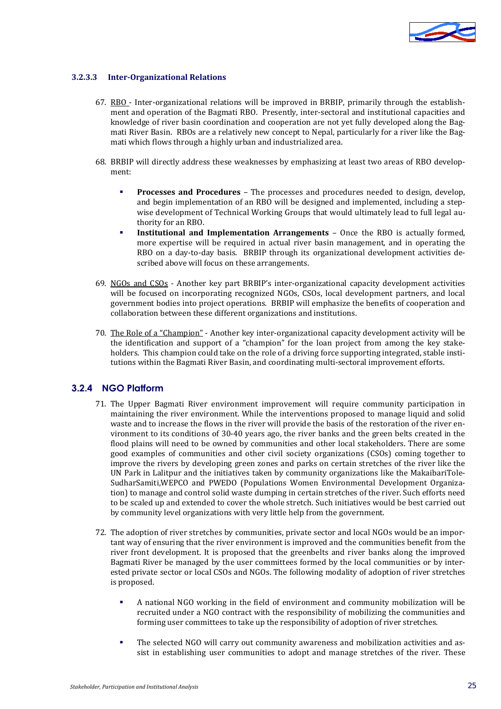

#### **3.2.3.3 Inter-Organizational Relations**

- 67. RBO Inter-organizational relations will be improved in BRBIP, primarily through the establishment and operation of the Bagmati RBO. Presently, inter-sectoral and institutional capacities and knowledge of river basin coordination and cooperation are not yet fully developed along the Bagmati River Basin. RBOs are a relatively new concept to Nepal, particularly for a river like the Bagmati which flows through a highly urban and industrialized area.
- 68. BRBIP will directly address these weaknesses by emphasizing at least two areas of RBO development:
	- **Processes and Procedures** The processes and procedures needed to design, develop, and begin implementation of an RBO will be designed and implemented, including a stepwise development of Technical Working Groups that would ultimately lead to full legal authority for an RBO.
	- **Institutional and Implementation Arrangements** Once the RBO is actually formed, more expertise will be required in actual river basin management, and in operating the RBO on a day-to-day basis. BRBIP through its organizational development activities described above will focus on these arrangements.
- 69. NGOs and CSOs Another key part BRBIP's inter-organizational capacity development activities will be focused on incorporating recognized NGOs, CSOs, local development partners, and local government bodies into project operations. BRBIP will emphasize the benefits of cooperation and collaboration between these different organizations and institutions.
- 70. The Role of a "Champion" Another key inter-organizational capacity development activity will be the identification and support of a "champion" for the loan project from among the key stakeholders. This champion could take on the role of a driving force supporting integrated, stable institutions within the Bagmati River Basin, and coordinating multi-sectoral improvement efforts.

#### **3.2.4 NGO Platform**

- 71. The Upper Bagmati River environment improvement will require community participation in maintaining the river environment. While the interventions proposed to manage liquid and solid waste and to increase the flows in the river will provide the basis of the restoration of the river environment to its conditions of 30-40 years ago, the river banks and the green belts created in the flood plains will need to be owned by communities and other local stakeholders. There are some good examples of communities and other civil society organizations (CSOs) coming together to improve the rivers by developing green zones and parks on certain stretches of the river like the UN Park in Lalitpur and the initiatives taken by community organizations like the MakaibariTole-SudharSamiti,WEPCO and PWEDO (Populations Women Environmental Development Organization) to manage and control solid waste dumping in certain stretches of the river. Such efforts need to be scaled up and extended to cover the whole stretch. Such initiatives would be best carried out by community level organizations with very little help from the government.
- 72. The adoption of river stretches by communities, private sector and local NGOs would be an important way of ensuring that the river environment is improved and the communities benefit from the river front development. It is proposed that the greenbelts and river banks along the improved Bagmati River be managed by the user committees formed by the local communities or by interested private sector or local CSOs and NGOs. The following modality of adoption of river stretches is proposed.
	- A national NGO working in the field of environment and community mobilization will be recruited under a NGO contract with the responsibility of mobilizing the communities and forming user committees to take up the responsibility of adoption of river stretches.
	- The selected NGO will carry out community awareness and mobilization activities and assist in establishing user communities to adopt and manage stretches of the river. These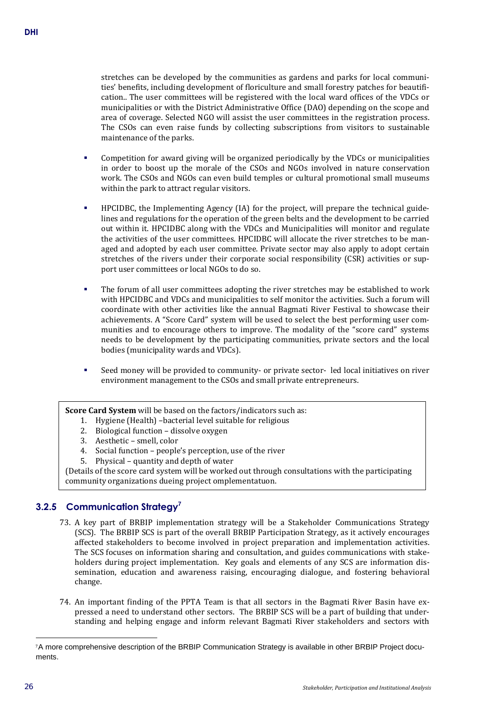stretches can be developed by the communities as gardens and parks for local communities' benefits, including development of floriculture and small forestry patches for beautification.. The user committees will be registered with the local ward offices of the VDCs or municipalities or with the District Administrative Office (DAO) depending on the scope and area of coverage. Selected NGO will assist the user committees in the registration process. The CSOs can even raise funds by collecting subscriptions from visitors to sustainable maintenance of the parks.

- Competition for award giving will be organized periodically by the VDCs or municipalities in order to boost up the morale of the CSOs and NGOs involved in nature conservation work. The CSOs and NGOs can even build temples or cultural promotional small museums within the park to attract regular visitors.
- HPCIDBC, the Implementing Agency (IA) for the project, will prepare the technical guidelines and regulations for the operation of the green belts and the development to be carried out within it. HPCIDBC along with the VDCs and Municipalities will monitor and regulate the activities of the user committees. HPCIDBC will allocate the river stretches to be managed and adopted by each user committee. Private sector may also apply to adopt certain stretches of the rivers under their corporate social responsibility (CSR) activities or support user committees or local NGOs to do so.
- The forum of all user committees adopting the river stretches may be established to work with HPCIDBC and VDCs and municipalities to self monitor the activities. Such a forum will coordinate with other activities like the annual Bagmati River Festival to showcase their achievements. A "Score Card" system will be used to select the best performing user communities and to encourage others to improve. The modality of the "score card" systems needs to be development by the participating communities, private sectors and the local bodies (municipality wards and VDCs).
- Seed money will be provided to community- or private sector- led local initiatives on river environment management to the CSOs and small private entrepreneurs.

**Score Card System** will be based on the factors/indicators such as:

- 1. Hygiene (Health) –bacterial level suitable for religious
- 2. Biological function dissolve oxygen
- 3. Aesthetic smell, color
- 4. Social function people's perception, use of the river
- 5. Physical quantity and depth of water

(Details of the score card system will be worked out through consultations with the participating community organizations dueing project omplementatuon.

# **3.2.5 Communication Strategy<sup>7</sup>**

- 73. A key part of BRBIP implementation strategy will be a Stakeholder Communications Strategy (SCS). The BRBIP SCS is part of the overall BRBIP Participation Strategy, as it actively encourages affected stakeholders to become involved in project preparation and implementation activities. The SCS focuses on information sharing and consultation, and guides communications with stakeholders during project implementation. Key goals and elements of any SCS are information dissemination, education and awareness raising, encouraging dialogue, and fostering behavioral change.
- 74. An important finding of the PPTA Team is that all sectors in the Bagmati River Basin have expressed a need to understand other sectors. The BRBIP SCS will be a part of building that understanding and helping engage and inform relevant Bagmati River stakeholders and sectors with

j

<sup>7</sup>A more comprehensive description of the BRBIP Communication Strategy is available in other BRBIP Project documents.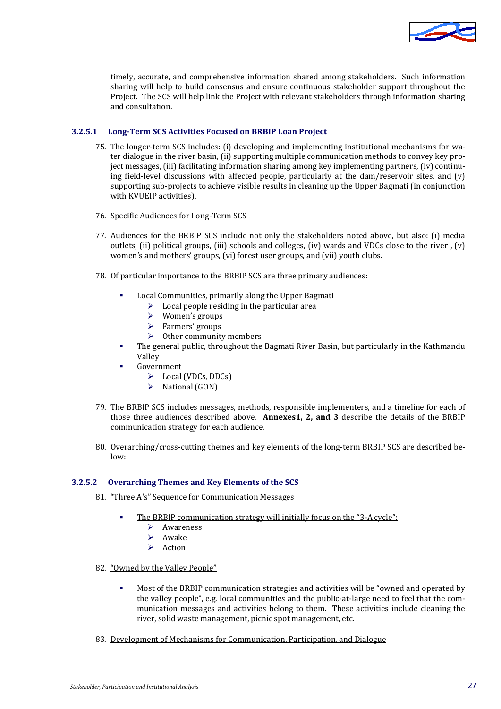

timely, accurate, and comprehensive information shared among stakeholders. Such information sharing will help to build consensus and ensure continuous stakeholder support throughout the Project. The SCS will help link the Project with relevant stakeholders through information sharing and consultation.

#### **3.2.5.1 Long-Term SCS Activities Focused on BRBIP Loan Project**

- 75. The longer-term SCS includes: (i) developing and implementing institutional mechanisms for water dialogue in the river basin, (ii) supporting multiple communication methods to convey key project messages, (iii) facilitating information sharing among key implementing partners, (iv) continuing field-level discussions with affected people, particularly at the dam/reservoir sites, and (v) supporting sub-projects to achieve visible results in cleaning up the Upper Bagmati (in conjunction with KVUEIP activities).
- 76. Specific Audiences for Long-Term SCS
- 77. Audiences for the BRBIP SCS include not only the stakeholders noted above, but also: (i) media outlets, (ii) political groups, (iii) schools and colleges, (iv) wards and VDCs close to the river , (v) women's and mothers' groups, (vi) forest user groups, and (vii) youth clubs.
- 78. Of particular importance to the BRBIP SCS are three primary audiences:
	- Local Communities, primarily along the Upper Bagmati
		- $\triangleright$  Local people residing in the particular area
		- Women's groups
		- > Farmers' groups
		- $\triangleright$  Other community members
	- The general public, throughout the Bagmati River Basin, but particularly in the Kathmandu Valley
	- Government
		- $\triangleright$  Local (VDCs, DDCs)
		- $\triangleright$  National (GON)
- 79. The BRBIP SCS includes messages, methods, responsible implementers, and a timeline for each of those three audiences described above. **Annexes1, 2, and 3** describe the details of the BRBIP communication strategy for each audience.
- 80. Overarching/cross-cutting themes and key elements of the long-term BRBIP SCS are described below:

#### **3.2.5.2 Overarching Themes and Key Elements of the SCS**

- 81. "Three A's" Sequence for Communication Messages
	- The BRBIP communication strategy will initially focus on the "3-A cycle":
		- **►** Awareness
		- $\triangleright$  Awake
		- Action
- 82. "Owned by the Valley People"
	- Most of the BRBIP communication strategies and activities will be "owned and operated by the valley people", e.g. local communities and the public-at-large need to feel that the communication messages and activities belong to them. These activities include cleaning the river, solid waste management, picnic spot management, etc.
- 83. Development of Mechanisms for Communication, Participation, and Dialogue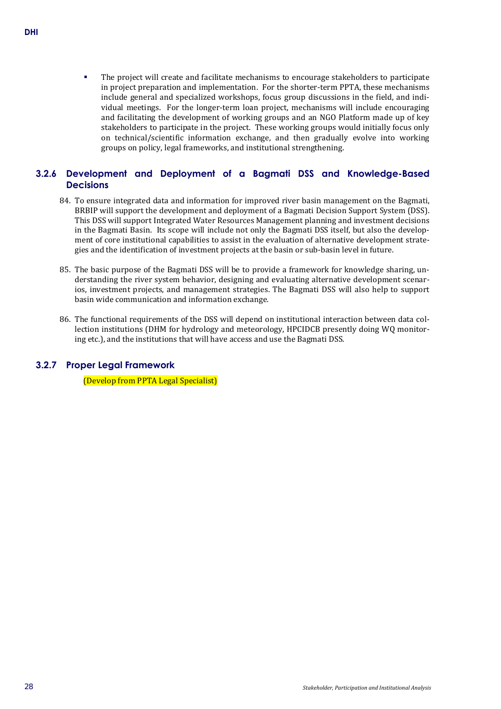The project will create and facilitate mechanisms to encourage stakeholders to participate in project preparation and implementation. For the shorter-term PPTA, these mechanisms include general and specialized workshops, focus group discussions in the field, and individual meetings. For the longer-term loan project, mechanisms will include encouraging and facilitating the development of working groups and an NGO Platform made up of key stakeholders to participate in the project. These working groups would initially focus only on technical/scientific information exchange, and then gradually evolve into working groups on policy, legal frameworks, and institutional strengthening.

# **3.2.6 Development and Deployment of a Bagmati DSS and Knowledge-Based Decisions**

- 84. To ensure integrated data and information for improved river basin management on the Bagmati, BRBIP will support the development and deployment of a Bagmati Decision Support System (DSS). This DSS will support Integrated Water Resources Management planning and investment decisions in the Bagmati Basin. Its scope will include not only the Bagmati DSS itself, but also the development of core institutional capabilities to assist in the evaluation of alternative development strategies and the identification of investment projects at the basin or sub-basin level in future.
- 85. The basic purpose of the Bagmati DSS will be to provide a framework for knowledge sharing, understanding the river system behavior, designing and evaluating alternative development scenarios, investment projects, and management strategies. The Bagmati DSS will also help to support basin wide communication and information exchange*.*
- 86. The functional requirements of the DSS will depend on institutional interaction between data collection institutions (DHM for hydrology and meteorology, HPCIDCB presently doing WQ monitoring etc.), and the institutions that will have access and use the Bagmati DSS.

# **3.2.7 Proper Legal Framework**

(Develop from PPTA Legal Specialist)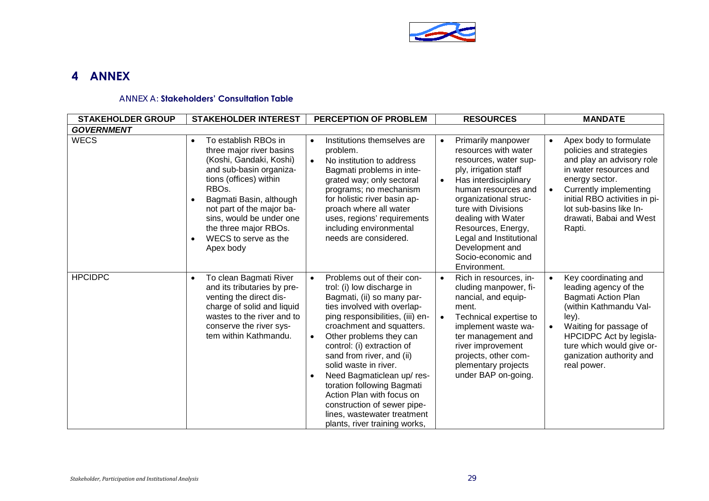

# **4 ANNEX**

#### ANNEX A: **Stakeholders' Consultation Table**

<span id="page-32-0"></span>

| <b>STAKEHOLDER GROUP</b> | <b>STAKEHOLDER INTEREST</b>                                                                                                                                                                                                                                                                                           | <b>PERCEPTION OF PROBLEM</b>                                                                                                                                                                                                                                                                                                                                                                                                                                                                              | <b>RESOURCES</b>                                                                                                                                                                                                                                                                                                                          | <b>MANDATE</b>                                                                                                                                                                                                                                                     |
|--------------------------|-----------------------------------------------------------------------------------------------------------------------------------------------------------------------------------------------------------------------------------------------------------------------------------------------------------------------|-----------------------------------------------------------------------------------------------------------------------------------------------------------------------------------------------------------------------------------------------------------------------------------------------------------------------------------------------------------------------------------------------------------------------------------------------------------------------------------------------------------|-------------------------------------------------------------------------------------------------------------------------------------------------------------------------------------------------------------------------------------------------------------------------------------------------------------------------------------------|--------------------------------------------------------------------------------------------------------------------------------------------------------------------------------------------------------------------------------------------------------------------|
| <b>GOVERNMENT</b>        |                                                                                                                                                                                                                                                                                                                       |                                                                                                                                                                                                                                                                                                                                                                                                                                                                                                           |                                                                                                                                                                                                                                                                                                                                           |                                                                                                                                                                                                                                                                    |
| <b>WECS</b>              | To establish RBOs in<br>$\bullet$<br>three major river basins<br>(Koshi, Gandaki, Koshi)<br>and sub-basin organiza-<br>tions (offices) within<br>RBO <sub>s</sub> .<br>Bagmati Basin, although<br>not part of the major ba-<br>sins, would be under one<br>the three major RBOs.<br>WECS to serve as the<br>Apex body | Institutions themselves are<br>$\bullet$<br>problem.<br>No institution to address<br>$\bullet$<br>Bagmati problems in inte-<br>grated way; only sectoral<br>programs; no mechanism<br>for holistic river basin ap-<br>proach where all water<br>uses, regions' requirements<br>including environmental<br>needs are considered.                                                                                                                                                                           | Primarily manpower<br>$\bullet$<br>resources with water<br>resources, water sup-<br>ply, irrigation staff<br>Has interdisciplinary<br>human resources and<br>organizational struc-<br>ture with Divisions<br>dealing with Water<br>Resources, Energy,<br>Legal and Institutional<br>Development and<br>Socio-economic and<br>Environment. | Apex body to formulate<br>$\bullet$<br>policies and strategies<br>and play an advisory role<br>in water resources and<br>energy sector.<br>Currently implementing<br>initial RBO activities in pi-<br>lot sub-basins like In-<br>drawati, Babai and West<br>Rapti. |
| <b>HPCIDPC</b>           | To clean Bagmati River<br>and its tributaries by pre-<br>venting the direct dis-<br>charge of solid and liquid<br>wastes to the river and to<br>conserve the river sys-<br>tem within Kathmandu.                                                                                                                      | Problems out of their con-<br>trol: (i) low discharge in<br>Bagmati, (ii) so many par-<br>ties involved with overlap-<br>ping responsibilities, (iii) en-<br>croachment and squatters.<br>Other problems they can<br>$\bullet$<br>control: (i) extraction of<br>sand from river, and (ii)<br>solid waste in river.<br>Need Bagmaticlean up/res-<br>toration following Bagmati<br>Action Plan with focus on<br>construction of sewer pipe-<br>lines, wastewater treatment<br>plants, river training works, | Rich in resources, in-<br>cluding manpower, fi-<br>nancial, and equip-<br>ment.<br>Technical expertise to<br>implement waste wa-<br>ter management and<br>river improvement<br>projects, other com-<br>plementary projects<br>under BAP on-going.                                                                                         | Key coordinating and<br>leading agency of the<br><b>Bagmati Action Plan</b><br>(within Kathmandu Val-<br>ley).<br>Waiting for passage of<br>HPCIDPC Act by legisla-<br>ture which would give or-<br>ganization authority and<br>real power.                        |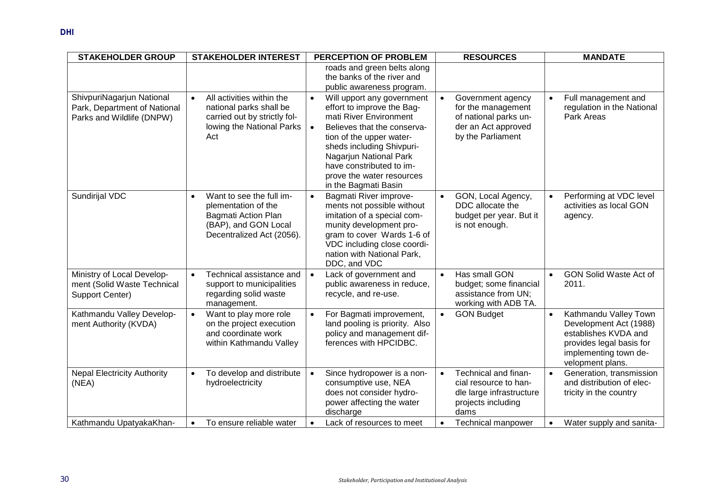| <b>STAKEHOLDER GROUP</b>                                                               | <b>STAKEHOLDER INTEREST</b>                                                                                                           | <b>PERCEPTION OF PROBLEM</b>                                                                                                                                                                                                                                                                                    | <b>RESOURCES</b>                                                                                                          | <b>MANDATE</b>                                                                                                                                                |
|----------------------------------------------------------------------------------------|---------------------------------------------------------------------------------------------------------------------------------------|-----------------------------------------------------------------------------------------------------------------------------------------------------------------------------------------------------------------------------------------------------------------------------------------------------------------|---------------------------------------------------------------------------------------------------------------------------|---------------------------------------------------------------------------------------------------------------------------------------------------------------|
|                                                                                        |                                                                                                                                       | roads and green belts along<br>the banks of the river and<br>public awareness program.                                                                                                                                                                                                                          |                                                                                                                           |                                                                                                                                                               |
| ShivpuriNagarjun National<br>Park, Department of National<br>Parks and Wildlife (DNPW) | All activities within the<br>$\bullet$<br>national parks shall be<br>carried out by strictly fol-<br>lowing the National Parks<br>Act | Will upport any government<br>$\bullet$<br>effort to improve the Bag-<br>mati River Environment<br>Believes that the conserva-<br>$\bullet$<br>tion of the upper water-<br>sheds including Shivpuri-<br>Nagarjun National Park<br>have constributed to im-<br>prove the water resources<br>in the Bagmati Basin | Government agency<br>$\bullet$<br>for the management<br>of national parks un-<br>der an Act approved<br>by the Parliament | Full management and<br>$\bullet$<br>regulation in the National<br>Park Areas                                                                                  |
| Sundirijal VDC                                                                         | Want to see the full im-<br>plementation of the<br>Bagmati Action Plan<br>(BAP), and GON Local<br>Decentralized Act (2056).           | Bagmati River improve-<br>$\bullet$<br>ments not possible without<br>imitation of a special com-<br>munity development pro-<br>gram to cover Wards 1-6 of<br>VDC including close coordi-<br>nation with National Park,<br>DDC, and VDC                                                                          | GON, Local Agency,<br>DDC allocate the<br>budget per year. But it<br>is not enough.                                       | Performing at VDC level<br>activities as local GON<br>agency.                                                                                                 |
| Ministry of Local Develop-<br>ment (Solid Waste Technical<br>Support Center)           | Technical assistance and<br>$\bullet$<br>support to municipalities<br>regarding solid waste<br>management.                            | Lack of government and<br>$\bullet$<br>public awareness in reduce,<br>recycle, and re-use.                                                                                                                                                                                                                      | Has small GON<br>$\bullet$<br>budget; some financial<br>assistance from UN;<br>working with ADB TA.                       | <b>GON Solid Waste Act of</b><br>$\bullet$<br>2011.                                                                                                           |
| Kathmandu Valley Develop-<br>ment Authority (KVDA)                                     | Want to play more role<br>$\bullet$<br>on the project execution<br>and coordinate work<br>within Kathmandu Valley                     | For Bagmati improvement,<br>land pooling is priority. Also<br>policy and management dif-<br>ferences with HPCIDBC.                                                                                                                                                                                              | <b>GON Budget</b><br>$\bullet$                                                                                            | Kathmandu Valley Town<br>$\bullet$<br>Development Act (1988)<br>establishes KVDA and<br>provides legal basis for<br>implementing town de-<br>velopment plans. |
| <b>Nepal Electricity Authority</b><br>(NEA)                                            | To develop and distribute<br>$\bullet$<br>hydroelectricity                                                                            | Since hydropower is a non-<br>consumptive use, NEA<br>does not consider hydro-<br>power affecting the water<br>discharge                                                                                                                                                                                        | Technical and finan-<br>$\bullet$<br>cial resource to han-<br>dle large infrastructure<br>projects including<br>dams      | Generation, transmission<br>$\bullet$<br>and distribution of elec-<br>tricity in the country                                                                  |
| Kathmandu UpatyakaKhan-                                                                | To ensure reliable water                                                                                                              | Lack of resources to meet                                                                                                                                                                                                                                                                                       | <b>Technical manpower</b>                                                                                                 | Water supply and sanita-<br>$\bullet$                                                                                                                         |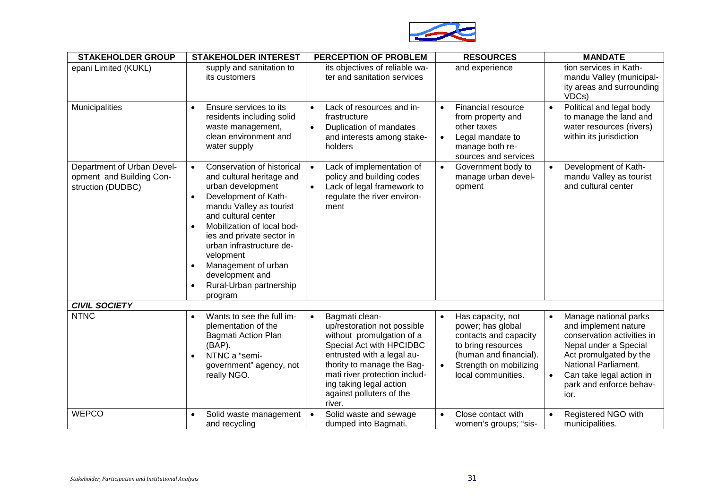

| <b>STAKEHOLDER GROUP</b>                                                    | <b>STAKEHOLDER INTEREST</b>                                                                                                                                                                                                                                                                                                                                                       | PERCEPTION OF PROBLEM                                                                                                                                                                                                                                                | <b>RESOURCES</b>                                                                                                                                                             | <b>MANDATE</b>                                                                                                                                                                                                                     |
|-----------------------------------------------------------------------------|-----------------------------------------------------------------------------------------------------------------------------------------------------------------------------------------------------------------------------------------------------------------------------------------------------------------------------------------------------------------------------------|----------------------------------------------------------------------------------------------------------------------------------------------------------------------------------------------------------------------------------------------------------------------|------------------------------------------------------------------------------------------------------------------------------------------------------------------------------|------------------------------------------------------------------------------------------------------------------------------------------------------------------------------------------------------------------------------------|
| epani Limited (KUKL)                                                        | supply and sanitation to<br>its customers                                                                                                                                                                                                                                                                                                                                         | its objectives of reliable wa-<br>ter and sanitation services                                                                                                                                                                                                        | and experience                                                                                                                                                               | tion services in Kath-<br>mandu Valley (municipal-<br>ity areas and surrounding<br>VDCs)                                                                                                                                           |
| Municipalities                                                              | Ensure services to its<br>residents including solid<br>waste management,<br>clean environment and<br>water supply                                                                                                                                                                                                                                                                 | Lack of resources and in-<br>frastructure<br>Duplication of mandates<br>$\bullet$<br>and interests among stake-<br>holders                                                                                                                                           | Financial resource<br>from property and<br>other taxes<br>Legal mandate to<br>$\bullet$<br>manage both re-<br>sources and services                                           | Political and legal body<br>$\bullet$<br>to manage the land and<br>water resources (rivers)<br>within its jurisdiction                                                                                                             |
| Department of Urban Devel-<br>opment and Building Con-<br>struction (DUDBC) | Conservation of historical<br>$\bullet$<br>and cultural heritage and<br>urban development<br>Development of Kath-<br>$\bullet$<br>mandu Valley as tourist<br>and cultural center<br>Mobilization of local bod-<br>$\bullet$<br>ies and private sector in<br>urban infrastructure de-<br>velopment<br>Management of urban<br>development and<br>Rural-Urban partnership<br>program | Lack of implementation of<br>policy and building codes<br>Lack of legal framework to<br>$\bullet$<br>regulate the river environ-<br>ment                                                                                                                             | Government body to<br>$\bullet$<br>manage urban devel-<br>opment                                                                                                             | Development of Kath-<br>mandu Valley as tourist<br>and cultural center                                                                                                                                                             |
| <b>CIVIL SOCIETY</b>                                                        |                                                                                                                                                                                                                                                                                                                                                                                   |                                                                                                                                                                                                                                                                      |                                                                                                                                                                              |                                                                                                                                                                                                                                    |
| <b>NTNC</b>                                                                 | Wants to see the full im-<br>plementation of the<br>Bagmati Action Plan<br>(BAP).<br>NTNC a "semi-<br>government" agency, not<br>really NGO.                                                                                                                                                                                                                                      | Bagmati clean-<br>up/restoration not possible<br>without promulgation of a<br>Special Act with HPCIDBC<br>entrusted with a legal au-<br>thority to manage the Bag-<br>mati river protection includ-<br>ing taking legal action<br>against polluters of the<br>river. | Has capacity, not<br>$\bullet$<br>power; has global<br>contacts and capacity<br>to bring resources<br>(human and financial).<br>Strength on mobilizing<br>local communities. | Manage national parks<br>$\bullet$<br>and implement nature<br>conservation activities in<br>Nepal under a Special<br>Act promulgated by the<br>National Parliament.<br>Can take legal action in<br>park and enforce behav-<br>ior. |
| <b>WEPCO</b>                                                                | Solid waste management<br>and recycling                                                                                                                                                                                                                                                                                                                                           | Solid waste and sewage<br>dumped into Bagmati.                                                                                                                                                                                                                       | Close contact with<br>women's groups; "sis-                                                                                                                                  | Registered NGO with<br>$\bullet$<br>municipalities.                                                                                                                                                                                |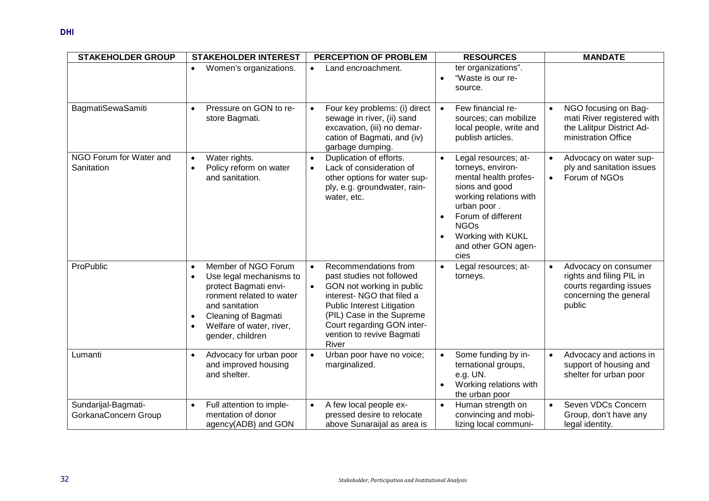| <b>STAKEHOLDER GROUP</b>                    | <b>STAKEHOLDER INTEREST</b>                                                                                                                                                                                                                      | PERCEPTION OF PROBLEM                                                                                                                                                                                                                                                 | <b>RESOURCES</b>                                                                                                                                                                                                       | <b>MANDATE</b>                                                                                                               |
|---------------------------------------------|--------------------------------------------------------------------------------------------------------------------------------------------------------------------------------------------------------------------------------------------------|-----------------------------------------------------------------------------------------------------------------------------------------------------------------------------------------------------------------------------------------------------------------------|------------------------------------------------------------------------------------------------------------------------------------------------------------------------------------------------------------------------|------------------------------------------------------------------------------------------------------------------------------|
|                                             | Women's organizations.<br>$\bullet$                                                                                                                                                                                                              | Land encroachment.<br>$\bullet$                                                                                                                                                                                                                                       | ter organizations".<br>"Waste is our re-<br>source.                                                                                                                                                                    |                                                                                                                              |
| <b>BagmatiSewaSamiti</b>                    | Pressure on GON to re-<br>$\bullet$<br>store Bagmati.                                                                                                                                                                                            | Four key problems: (i) direct<br>sewage in river, (ii) sand<br>excavation, (iii) no demar-<br>cation of Bagmati, and (iv)<br>garbage dumping.                                                                                                                         | Few financial re-<br>$\bullet$<br>sources; can mobilize<br>local people, write and<br>publish articles.                                                                                                                | NGO focusing on Bag-<br>$\bullet$<br>mati River registered with<br>the Lalitpur District Ad-<br>ministration Office          |
| NGO Forum for Water and<br>Sanitation       | Water rights.<br>$\bullet$<br>Policy reform on water<br>and sanitation.                                                                                                                                                                          | Duplication of efforts.<br>$\bullet$<br>Lack of consideration of<br>$\bullet$<br>other options for water sup-<br>ply, e.g. groundwater, rain-<br>water, etc.                                                                                                          | Legal resources; at-<br>torneys, environ-<br>mental health profes-<br>sions and good<br>working relations with<br>urban poor.<br>Forum of different<br><b>NGOs</b><br>Working with KUKL<br>and other GON agen-<br>cies | Advocacy on water sup-<br>$\bullet$<br>ply and sanitation issues<br>Forum of NGOs<br>$\bullet$                               |
| ProPublic                                   | Member of NGO Forum<br>$\bullet$<br>Use legal mechanisms to<br>$\bullet$<br>protect Bagmati envi-<br>ronment related to water<br>and sanitation<br>Cleaning of Bagmati<br>$\bullet$<br>Welfare of water, river,<br>$\bullet$<br>gender, children | Recommendations from<br>$\bullet$<br>past studies not followed<br>GON not working in public<br>$\bullet$<br>interest- NGO that filed a<br>Public Interest Litigation<br>(PIL) Case in the Supreme<br>Court regarding GON inter-<br>vention to revive Bagmati<br>River | Legal resources; at-<br>$\bullet$<br>torneys.                                                                                                                                                                          | Advocacy on consumer<br>$\bullet$<br>rights and filing PIL in<br>courts regarding issues<br>concerning the general<br>public |
| Lumanti                                     | Advocacy for urban poor<br>$\bullet$<br>and improved housing<br>and shelter.                                                                                                                                                                     | Urban poor have no voice;<br>$\bullet$<br>marginalized.                                                                                                                                                                                                               | Some funding by in-<br>ternational groups,<br>e.g. UN.<br>Working relations with<br>the urban poor                                                                                                                     | Advocacy and actions in<br>$\bullet$<br>support of housing and<br>shelter for urban poor                                     |
| Sundarijal-Bagmati-<br>GorkanaConcern Group | Full attention to imple-<br>$\bullet$<br>mentation of donor<br>agency(ADB) and GON                                                                                                                                                               | A few local people ex-<br>$\bullet$<br>pressed desire to relocate<br>above Sunaraijal as area is                                                                                                                                                                      | Human strength on<br>$\bullet$<br>convincing and mobi-<br>lizing local communi-                                                                                                                                        | Seven VDCs Concern<br>$\bullet$<br>Group, don't have any<br>legal identity.                                                  |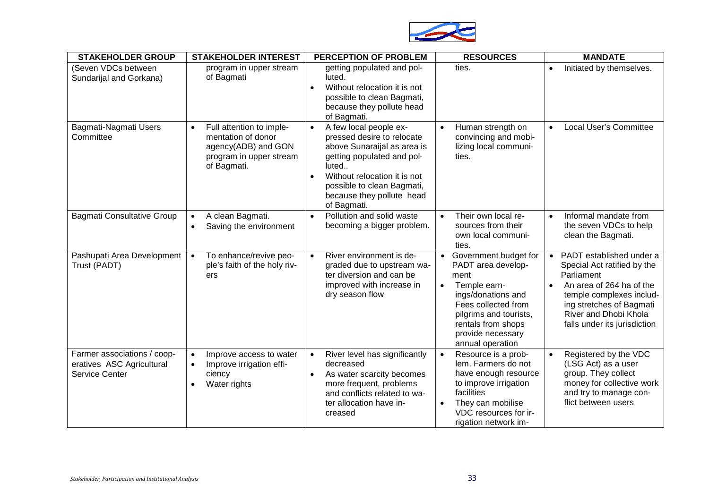

| <b>STAKEHOLDER GROUP</b>                                                   | <b>STAKEHOLDER INTEREST</b>                                                                                     | <b>PERCEPTION OF PROBLEM</b>                                                                                                                                                                                                                                   | <b>RESOURCES</b>                                                                                                                                                                                                                    | <b>MANDATE</b>                                                                                                                                                                                                                  |
|----------------------------------------------------------------------------|-----------------------------------------------------------------------------------------------------------------|----------------------------------------------------------------------------------------------------------------------------------------------------------------------------------------------------------------------------------------------------------------|-------------------------------------------------------------------------------------------------------------------------------------------------------------------------------------------------------------------------------------|---------------------------------------------------------------------------------------------------------------------------------------------------------------------------------------------------------------------------------|
| (Seven VDCs between<br>Sundarijal and Gorkana)                             | program in upper stream<br>of Bagmati                                                                           | getting populated and pol-<br>luted.<br>Without relocation it is not<br>$\bullet$<br>possible to clean Bagmati,<br>because they pollute head<br>of Bagmati.                                                                                                    | ties.                                                                                                                                                                                                                               | Initiated by themselves.<br>$\bullet$                                                                                                                                                                                           |
| Bagmati-Nagmati Users<br>Committee                                         | Full attention to imple-<br>mentation of donor<br>agency(ADB) and GON<br>program in upper stream<br>of Bagmati. | A few local people ex-<br>$\bullet$<br>pressed desire to relocate<br>above Sunaraijal as area is<br>getting populated and pol-<br>luted<br>Without relocation it is not<br>$\bullet$<br>possible to clean Bagmati,<br>because they pollute head<br>of Bagmati. | Human strength on<br>convincing and mobi-<br>lizing local communi-<br>ties.                                                                                                                                                         | Local User's Committee                                                                                                                                                                                                          |
| <b>Bagmati Consultative Group</b>                                          | A clean Bagmati.<br>Saving the environment<br>$\bullet$                                                         | Pollution and solid waste<br>$\bullet$<br>becoming a bigger problem.                                                                                                                                                                                           | Their own local re-<br>$\bullet$<br>sources from their<br>own local communi-<br>ties.                                                                                                                                               | Informal mandate from<br>$\bullet$<br>the seven VDCs to help<br>clean the Bagmati.                                                                                                                                              |
| Pashupati Area Development<br>Trust (PADT)                                 | To enhance/revive peo-<br>$\bullet$<br>ple's faith of the holy riv-<br>ers                                      | River environment is de-<br>$\bullet$<br>graded due to upstream wa-<br>ter diversion and can be<br>improved with increase in<br>dry season flow                                                                                                                | Government budget for<br>$\bullet$<br>PADT area develop-<br>ment<br>Temple earn-<br>$\bullet$<br>ings/donations and<br>Fees collected from<br>pilgrims and tourists,<br>rentals from shops<br>provide necessary<br>annual operation | PADT established under a<br>Special Act ratified by the<br>Parliament<br>An area of 264 ha of the<br>$\bullet$<br>temple complexes includ-<br>ing stretches of Bagmati<br>River and Dhobi Khola<br>falls under its jurisdiction |
| Farmer associations / coop-<br>eratives ASC Agricultural<br>Service Center | Improve access to water<br>Improve irrigation effi-<br>$\bullet$<br>ciency<br>Water rights<br>$\bullet$         | River level has significantly<br>$\bullet$<br>decreased<br>As water scarcity becomes<br>$\bullet$<br>more frequent, problems<br>and conflicts related to wa-<br>ter allocation have in-<br>creased                                                             | Resource is a prob-<br>lem. Farmers do not<br>have enough resource<br>to improve irrigation<br>facilities<br>They can mobilise<br>$\bullet$<br>VDC resources for ir-<br>rigation network im-                                        | Registered by the VDC<br>$\bullet$<br>(LSG Act) as a user<br>group. They collect<br>money for collective work<br>and try to manage con-<br>flict between users                                                                  |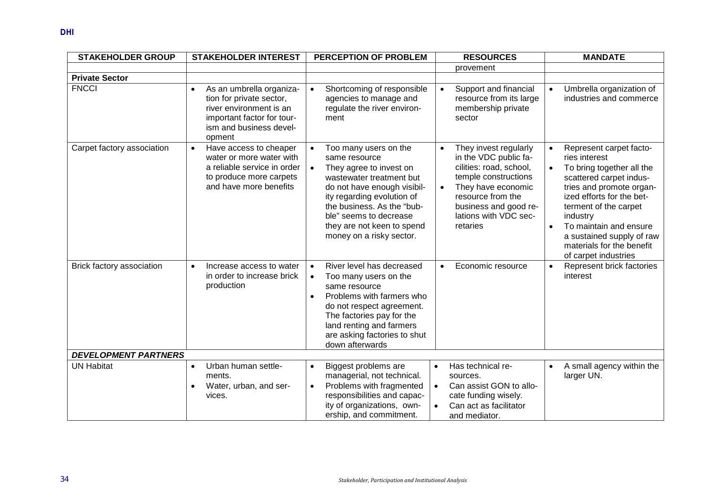| <b>STAKEHOLDER GROUP</b>    | <b>STAKEHOLDER INTEREST</b>                                                                                                                         | PERCEPTION OF PROBLEM                                                                                                                                                                                                                                                            | <b>RESOURCES</b>                                                                                                                                                                                                        | <b>MANDATE</b>                                                                                                                                                                                                                                                                                                                                    |
|-----------------------------|-----------------------------------------------------------------------------------------------------------------------------------------------------|----------------------------------------------------------------------------------------------------------------------------------------------------------------------------------------------------------------------------------------------------------------------------------|-------------------------------------------------------------------------------------------------------------------------------------------------------------------------------------------------------------------------|---------------------------------------------------------------------------------------------------------------------------------------------------------------------------------------------------------------------------------------------------------------------------------------------------------------------------------------------------|
|                             |                                                                                                                                                     |                                                                                                                                                                                                                                                                                  | provement                                                                                                                                                                                                               |                                                                                                                                                                                                                                                                                                                                                   |
| <b>Private Sector</b>       |                                                                                                                                                     |                                                                                                                                                                                                                                                                                  |                                                                                                                                                                                                                         |                                                                                                                                                                                                                                                                                                                                                   |
| <b>FNCCI</b>                | As an umbrella organiza-<br>tion for private sector,<br>river environment is an<br>important factor for tour-<br>ism and business devel-<br>opment  | Shortcoming of responsible<br>$\bullet$<br>agencies to manage and<br>regulate the river environ-<br>ment                                                                                                                                                                         | Support and financial<br>resource from its large<br>membership private<br>sector                                                                                                                                        | Umbrella organization of<br>$\bullet$<br>industries and commerce                                                                                                                                                                                                                                                                                  |
| Carpet factory association  | Have access to cheaper<br>$\bullet$<br>water or more water with<br>a reliable service in order<br>to produce more carpets<br>and have more benefits | Too many users on the<br>same resource<br>They agree to invest on<br>wastewater treatment but<br>do not have enough visibil-<br>ity regarding evolution of<br>the business. As the "bub-<br>ble" seems to decrease<br>they are not keen to spend<br>money on a risky sector.     | They invest regularly<br>$\bullet$<br>in the VDC public fa-<br>cilities: road, school,<br>temple constructions<br>They have economic<br>resource from the<br>business and good re-<br>lations with VDC sec-<br>retaries | Represent carpet facto-<br>$\bullet$<br>ries interest<br>To bring together all the<br>$\bullet$<br>scattered carpet indus-<br>tries and promote organ-<br>ized efforts for the bet-<br>terment of the carpet<br>industry<br>To maintain and ensure<br>$\bullet$<br>a sustained supply of raw<br>materials for the benefit<br>of carpet industries |
| Brick factory association   | Increase access to water<br>$\bullet$<br>in order to increase brick<br>production                                                                   | River level has decreased<br>$\bullet$<br>Too many users on the<br>$\bullet$<br>same resource<br>Problems with farmers who<br>$\bullet$<br>do not respect agreement.<br>The factories pay for the<br>land renting and farmers<br>are asking factories to shut<br>down afterwards | Economic resource<br>$\bullet$                                                                                                                                                                                          | Represent brick factories<br>$\bullet$<br>interest                                                                                                                                                                                                                                                                                                |
| <b>DEVELOPMENT PARTNERS</b> |                                                                                                                                                     |                                                                                                                                                                                                                                                                                  |                                                                                                                                                                                                                         |                                                                                                                                                                                                                                                                                                                                                   |
| <b>UN Habitat</b>           | Urban human settle-<br>$\bullet$<br>ments.<br>Water, urban, and ser-<br>vices.                                                                      | Biggest problems are<br>$\bullet$<br>managerial, not technical.<br>Problems with fragmented<br>$\bullet$<br>responsibilities and capac-<br>ity of organizations, own-<br>ership, and commitment.                                                                                 | Has technical re-<br>$\bullet$<br>sources.<br>Can assist GON to allo-<br>$\bullet$<br>cate funding wisely.<br>Can act as facilitator<br>$\bullet$<br>and mediator.                                                      | A small agency within the<br>$\bullet$<br>larger UN.                                                                                                                                                                                                                                                                                              |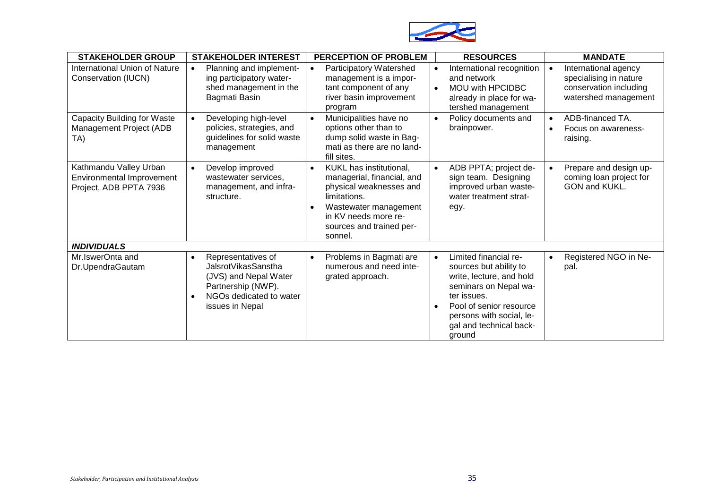

| <b>STAKEHOLDER GROUP</b>                                                      | <b>STAKEHOLDER INTEREST</b>                                                                                                                         | <b>PERCEPTION OF PROBLEM</b>                                                                                                                                                                                       | <b>RESOURCES</b>                                                                                                                                                                                                             | <b>MANDATE</b>                                                                                                |
|-------------------------------------------------------------------------------|-----------------------------------------------------------------------------------------------------------------------------------------------------|--------------------------------------------------------------------------------------------------------------------------------------------------------------------------------------------------------------------|------------------------------------------------------------------------------------------------------------------------------------------------------------------------------------------------------------------------------|---------------------------------------------------------------------------------------------------------------|
| International Union of Nature<br>Conservation (IUCN)                          | Planning and implement-<br>ing participatory water-<br>shed management in the<br>Bagmati Basin                                                      | Participatory Watershed<br>management is a impor-<br>tant component of any<br>river basin improvement<br>program                                                                                                   | International recognition<br>$\bullet$<br>and network<br>MOU with HPCIDBC<br>$\bullet$<br>already in place for wa-<br>tershed management                                                                                     | International agency<br>$\bullet$<br>specialising in nature<br>conservation including<br>watershed management |
| <b>Capacity Building for Waste</b><br>Management Project (ADB<br>TA)          | Developing high-level<br>policies, strategies, and<br>guidelines for solid waste<br>management                                                      | Municipalities have no<br>$\bullet$<br>options other than to<br>dump solid waste in Bag-<br>mati as there are no land-<br>fill sites.                                                                              | Policy documents and<br>$\bullet$<br>brainpower.                                                                                                                                                                             | ADB-financed TA.<br>$\bullet$<br>Focus on awareness-<br>$\bullet$<br>raising.                                 |
| Kathmandu Valley Urban<br>Environmental Improvement<br>Project, ADB PPTA 7936 | Develop improved<br>wastewater services,<br>management, and infra-<br>structure.                                                                    | KUKL has institutional,<br>$\bullet$<br>managerial, financial, and<br>physical weaknesses and<br>limitations.<br>Wastewater management<br>$\bullet$<br>in KV needs more re-<br>sources and trained per-<br>sonnel. | ADB PPTA; project de-<br>$\bullet$<br>sign team. Designing<br>improved urban waste-<br>water treatment strat-<br>egy.                                                                                                        | Prepare and design up-<br>$\bullet$<br>coming loan project for<br>GON and KUKL.                               |
| <b>INDIVIDUALS</b>                                                            |                                                                                                                                                     |                                                                                                                                                                                                                    |                                                                                                                                                                                                                              |                                                                                                               |
| Mr.IswerOnta and<br>Dr.UpendraGautam                                          | Representatives of<br>$\bullet$<br>JalsrotVikasSanstha<br>(JVS) and Nepal Water<br>Partnership (NWP).<br>NGOs dedicated to water<br>issues in Nepal | Problems in Bagmati are<br>$\bullet$<br>numerous and need inte-<br>grated approach.                                                                                                                                | Limited financial re-<br>$\bullet$<br>sources but ability to<br>write, lecture, and hold<br>seminars on Nepal wa-<br>ter issues.<br>Pool of senior resource<br>persons with social, le-<br>gal and technical back-<br>ground | Registered NGO in Ne-<br>$\bullet$<br>pal.                                                                    |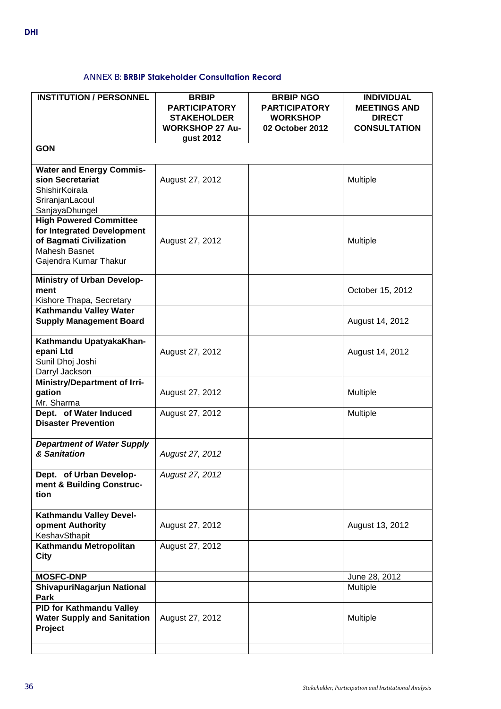# ANNEX B: **BRBIP Stakeholder Consultation Record**

<span id="page-39-0"></span>

| <b>INSTITUTION / PERSONNEL</b>                                                                                                          | <b>BRBIP</b><br><b>PARTICIPATORY</b><br><b>STAKEHOLDER</b><br><b>WORKSHOP 27 Au-</b><br>gust 2012 | <b>BRBIP NGO</b><br><b>PARTICIPATORY</b><br><b>WORKSHOP</b><br>02 October 2012 | <b>INDIVIDUAL</b><br><b>MEETINGS AND</b><br><b>DIRECT</b><br><b>CONSULTATION</b> |
|-----------------------------------------------------------------------------------------------------------------------------------------|---------------------------------------------------------------------------------------------------|--------------------------------------------------------------------------------|----------------------------------------------------------------------------------|
| <b>GON</b>                                                                                                                              |                                                                                                   |                                                                                |                                                                                  |
| <b>Water and Energy Commis-</b><br>sion Secretariat<br>ShishirKoirala<br>SriranjanLacoul<br>SanjayaDhungel                              | August 27, 2012                                                                                   |                                                                                | Multiple                                                                         |
| <b>High Powered Committee</b><br>for Integrated Development<br>of Bagmati Civilization<br><b>Mahesh Basnet</b><br>Gajendra Kumar Thakur | August 27, 2012                                                                                   |                                                                                | Multiple                                                                         |
| <b>Ministry of Urban Develop-</b><br>ment<br>Kishore Thapa, Secretary                                                                   |                                                                                                   |                                                                                | October 15, 2012                                                                 |
| Kathmandu Valley Water<br><b>Supply Management Board</b>                                                                                |                                                                                                   |                                                                                | August 14, 2012                                                                  |
| Kathmandu UpatyakaKhan-<br>epani Ltd<br>Sunil Dhoj Joshi<br>Darryl Jackson                                                              | August 27, 2012                                                                                   |                                                                                | August 14, 2012                                                                  |
| <b>Ministry/Department of Irri-</b><br>gation<br>Mr. Sharma                                                                             | August 27, 2012                                                                                   |                                                                                | Multiple                                                                         |
| Dept. of Water Induced<br><b>Disaster Prevention</b>                                                                                    | August 27, 2012                                                                                   |                                                                                | Multiple                                                                         |
| <b>Department of Water Supply</b><br>& Sanitation                                                                                       | August 27, 2012                                                                                   |                                                                                |                                                                                  |
| Dept. of Urban Develop-<br>ment & Building Construc-<br>tion                                                                            | August 27, 2012                                                                                   |                                                                                |                                                                                  |
| Kathmandu Valley Devel-<br>opment Authority<br>KeshavSthapit                                                                            | August 27, 2012                                                                                   |                                                                                | August 13, 2012                                                                  |
| Kathmandu Metropolitan<br>City                                                                                                          | August 27, 2012                                                                                   |                                                                                |                                                                                  |
| <b>MOSFC-DNP</b>                                                                                                                        |                                                                                                   |                                                                                | June 28, 2012                                                                    |
| ShivapuriNagarjun National<br>Park                                                                                                      |                                                                                                   |                                                                                | Multiple                                                                         |
| <b>PID for Kathmandu Valley</b><br><b>Water Supply and Sanitation</b><br>Project                                                        | August 27, 2012                                                                                   |                                                                                | Multiple                                                                         |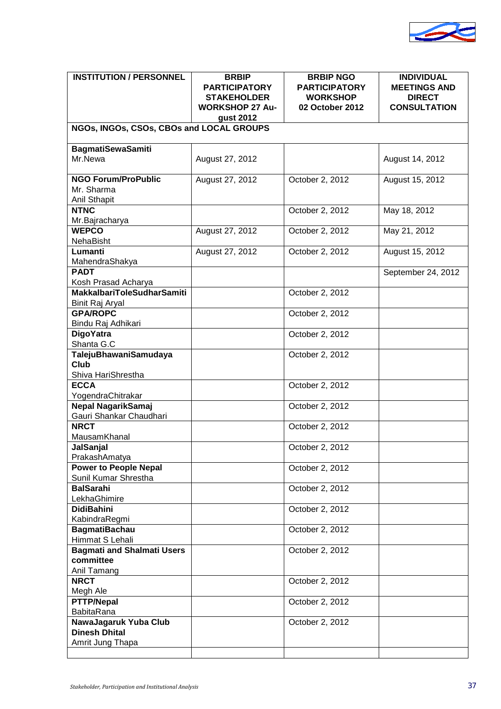

| <b>INSTITUTION / PERSONNEL</b>                                    | <b>BRBIP</b><br><b>PARTICIPATORY</b><br><b>STAKEHOLDER</b><br><b>WORKSHOP 27 Au-</b><br>gust 2012 | <b>BRBIP NGO</b><br><b>PARTICIPATORY</b><br><b>WORKSHOP</b><br>02 October 2012 | <b>INDIVIDUAL</b><br><b>MEETINGS AND</b><br><b>DIRECT</b><br><b>CONSULTATION</b> |
|-------------------------------------------------------------------|---------------------------------------------------------------------------------------------------|--------------------------------------------------------------------------------|----------------------------------------------------------------------------------|
| NGOs, INGOs, CSOs, CBOs and LOCAL GROUPS                          |                                                                                                   |                                                                                |                                                                                  |
| <b>BagmatiSewaSamiti</b><br>Mr.Newa                               | August 27, 2012                                                                                   |                                                                                | August 14, 2012                                                                  |
| <b>NGO Forum/ProPublic</b><br>Mr. Sharma<br><b>Anil Sthapit</b>   | August 27, 2012                                                                                   | October 2, 2012                                                                | August 15, 2012                                                                  |
| <b>NTNC</b><br>Mr.Bajracharya                                     |                                                                                                   | October 2, 2012                                                                | May 18, 2012                                                                     |
| <b>WEPCO</b><br>NehaBisht                                         | August 27, 2012                                                                                   | October 2, 2012                                                                | May 21, 2012                                                                     |
| Lumanti<br>MahendraShakya                                         | August 27, 2012                                                                                   | October 2, 2012                                                                | August 15, 2012                                                                  |
| <b>PADT</b><br>Kosh Prasad Acharya                                |                                                                                                   |                                                                                | September 24, 2012                                                               |
| <b>MakkalbariToleSudharSamiti</b><br>Binit Raj Aryal              |                                                                                                   | October 2, 2012                                                                |                                                                                  |
| <b>GPA/ROPC</b><br>Bindu Raj Adhikari                             |                                                                                                   | October 2, 2012                                                                |                                                                                  |
| DigoYatra<br>Shanta G.C                                           |                                                                                                   | October 2, 2012                                                                |                                                                                  |
| TalejuBhawaniSamudaya<br>Club<br>Shiva HariShrestha               |                                                                                                   | October 2, 2012                                                                |                                                                                  |
| <b>ECCA</b><br>YogendraChitrakar                                  |                                                                                                   | October 2, 2012                                                                |                                                                                  |
| Nepal NagarikSamaj<br>Gauri Shankar Chaudhari                     |                                                                                                   | October 2, 2012                                                                |                                                                                  |
| <b>NRCT</b><br>MausamKhanal                                       |                                                                                                   | October 2, 2012                                                                |                                                                                  |
| JalSanjal<br>PrakashAmatya                                        |                                                                                                   | October 2, 2012                                                                |                                                                                  |
| <b>Power to People Nepal</b><br>Sunil Kumar Shrestha              |                                                                                                   | October 2, 2012                                                                |                                                                                  |
| <b>BalSarahi</b><br>LekhaGhimire                                  |                                                                                                   | October 2, 2012                                                                |                                                                                  |
| <b>DidiBahini</b><br>KabindraRegmi                                |                                                                                                   | October 2, 2012                                                                |                                                                                  |
| <b>BagmatiBachau</b><br>Himmat S Lehali                           |                                                                                                   | October 2, 2012                                                                |                                                                                  |
| <b>Bagmati and Shalmati Users</b><br>committee<br>Anil Tamang     |                                                                                                   | October 2, 2012                                                                |                                                                                  |
| <b>NRCT</b><br>Megh Ale                                           |                                                                                                   | October 2, 2012                                                                |                                                                                  |
| <b>PTTP/Nepal</b><br>BabitaRana                                   |                                                                                                   | October 2, 2012                                                                |                                                                                  |
| NawaJagaruk Yuba Club<br><b>Dinesh Dhital</b><br>Amrit Jung Thapa |                                                                                                   | October 2, 2012                                                                |                                                                                  |
|                                                                   |                                                                                                   |                                                                                |                                                                                  |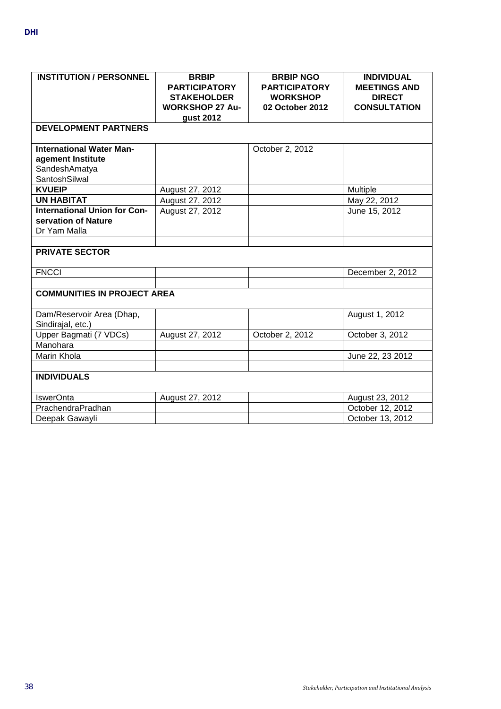| <b>INSTITUTION / PERSONNEL</b>                                                         | <b>BRBIP</b><br><b>PARTICIPATORY</b><br><b>STAKEHOLDER</b><br><b>WORKSHOP 27 Au-</b><br>gust 2012 | <b>BRBIP NGO</b><br><b>PARTICIPATORY</b><br><b>WORKSHOP</b><br>02 October 2012 | <b>INDIVIDUAL</b><br><b>MEETINGS AND</b><br><b>DIRECT</b><br><b>CONSULTATION</b> |
|----------------------------------------------------------------------------------------|---------------------------------------------------------------------------------------------------|--------------------------------------------------------------------------------|----------------------------------------------------------------------------------|
| <b>DEVELOPMENT PARTNERS</b>                                                            |                                                                                                   |                                                                                |                                                                                  |
| <b>International Water Man-</b><br>agement Institute<br>SandeshAmatya<br>SantoshSilwal |                                                                                                   | October 2, 2012                                                                |                                                                                  |
| <b>KVUEIP</b>                                                                          | August 27, 2012                                                                                   |                                                                                | Multiple                                                                         |
| <b>UN HABITAT</b>                                                                      | August 27, 2012                                                                                   |                                                                                | May 22, 2012                                                                     |
| <b>International Union for Con-</b><br>servation of Nature<br>Dr Yam Malla             | August 27, 2012                                                                                   |                                                                                | June 15, 2012                                                                    |
| <b>PRIVATE SECTOR</b>                                                                  |                                                                                                   |                                                                                |                                                                                  |
| <b>FNCCI</b>                                                                           |                                                                                                   |                                                                                | December 2, 2012                                                                 |
| <b>COMMUNITIES IN PROJECT AREA</b>                                                     |                                                                                                   |                                                                                |                                                                                  |
| Dam/Reservoir Area (Dhap,<br>Sindirajal, etc.)                                         |                                                                                                   |                                                                                | August 1, 2012                                                                   |
| Upper Bagmati (7 VDCs)                                                                 | August 27, 2012                                                                                   | October 2, 2012                                                                | October 3, 2012                                                                  |
| Manohara                                                                               |                                                                                                   |                                                                                |                                                                                  |
| Marin Khola                                                                            |                                                                                                   |                                                                                | June 22, 23 2012                                                                 |
| <b>INDIVIDUALS</b>                                                                     |                                                                                                   |                                                                                |                                                                                  |
| <b>IswerOnta</b>                                                                       | August 27, 2012                                                                                   |                                                                                | August 23, 2012                                                                  |
| PrachendraPradhan                                                                      |                                                                                                   |                                                                                | October 12, 2012                                                                 |
| Deepak Gawayli                                                                         |                                                                                                   |                                                                                | October 13, 2012                                                                 |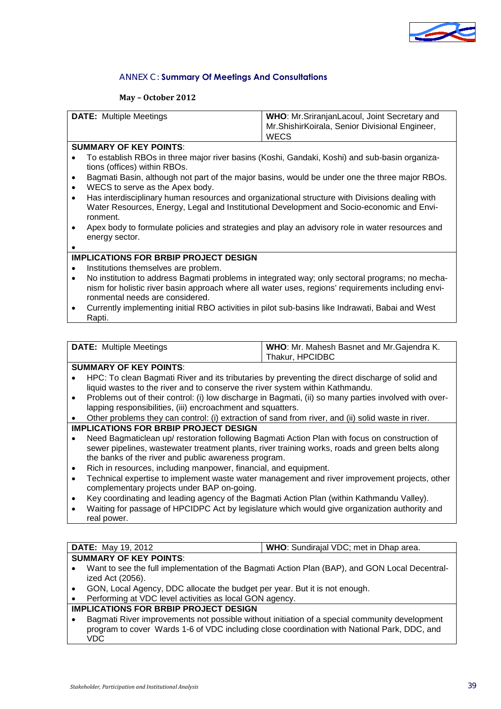

#### ANNEX C: **Summary Of Meetings And Consultations**

#### **May – October 2012**

<span id="page-42-0"></span>

| <b>DATE:</b> Multiple Meetings | <b>WHO:</b> Mr. Sriranjan Lacoul, Joint Secretary and<br>Mr.ShishirKoirala, Senior Divisional Engineer, |
|--------------------------------|---------------------------------------------------------------------------------------------------------|
|                                | <b>WECS</b>                                                                                             |

#### **SUMMARY OF KEY POINTS**:

- To establish RBOs in three major river basins (Koshi, Gandaki, Koshi) and sub-basin organizations (offices) within RBOs.
- Bagmati Basin, although not part of the major basins, would be under one the three major RBOs.
- WECS to serve as the Apex body.
- Has interdisciplinary human resources and organizational structure with Divisions dealing with Water Resources, Energy, Legal and Institutional Development and Socio-economic and Environment.
- Apex body to formulate policies and strategies and play an advisory role in water resources and energy sector.

#### •

#### **IMPLICATIONS FOR BRBIP PROJECT DESIGN**

- Institutions themselves are problem.
- No institution to address Bagmati problems in integrated way; only sectoral programs; no mechanism for holistic river basin approach where all water uses, regions' requirements including environmental needs are considered.
- Currently implementing initial RBO activities in pilot sub-basins like Indrawati, Babai and West Rapti.

| <b>DATE:</b> Multiple Meetings | WHO: Mr. Mahesh Basnet and Mr. Gajendra K. |
|--------------------------------|--------------------------------------------|
|                                | Thakur, HPCIDBC                            |

# **SUMMARY OF KEY POINTS**:

- HPC: To clean Bagmati River and its tributaries by preventing the direct discharge of solid and liquid wastes to the river and to conserve the river system within Kathmandu.
- Problems out of their control: (i) low discharge in Bagmati, (ii) so many parties involved with overlapping responsibilities, (iii) encroachment and squatters.
- Other problems they can control: (i) extraction of sand from river, and (ii) solid waste in river.

#### **IMPLICATIONS FOR BRBIP PROJECT DESIGN**

- Need Bagmaticlean up/ restoration following Bagmati Action Plan with focus on construction of sewer pipelines, wastewater treatment plants, river training works, roads and green belts along the banks of the river and public awareness program.
- Rich in resources, including manpower, financial, and equipment.
- Technical expertise to implement waste water management and river improvement projects, other complementary projects under BAP on-going.
- Key coordinating and leading agency of the Bagmati Action Plan (within Kathmandu Valley).
- Waiting for passage of HPCIDPC Act by legislature which would give organization authority and real power.

#### **DATE:** May 19, 2012 **WHO**: Sundirajal VDC; met in Dhap area. **SUMMARY OF KEY POINTS**:

- Want to see the full implementation of the Bagmati Action Plan (BAP), and GON Local Decentralized Act (2056).
- GON, Local Agency, DDC allocate the budget per year. But it is not enough.
- Performing at VDC level activities as local GON agency.

#### **IMPLICATIONS FOR BRBIP PROJECT DESIGN**

• Bagmati River improvements not possible without initiation of a special community development program to cover Wards 1-6 of VDC including close coordination with National Park, DDC, and VDC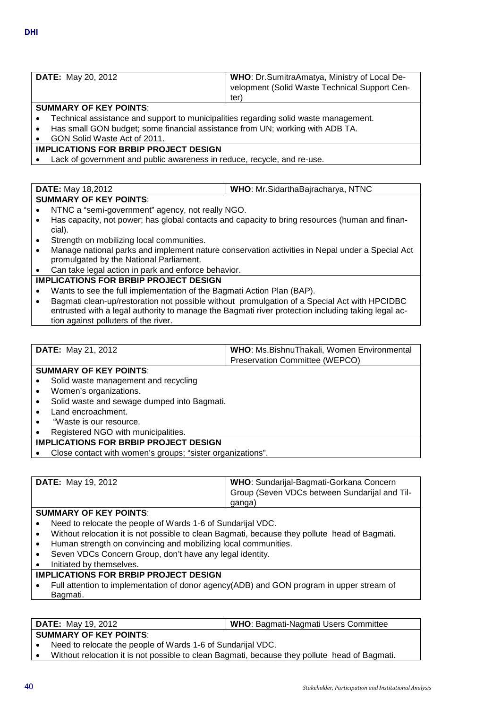| <b>DATE:</b> May 20, 2012 | <b>WHO:</b> Dr.SumitraAmatya, Ministry of Local De- |
|---------------------------|-----------------------------------------------------|
|                           | velopment (Solid Waste Technical Support Cen-       |
|                           | ter.                                                |
| CUMMADY OF KEY DOINTS.    |                                                     |

#### **SUMMARY OF KEY POINTS**:

- Technical assistance and support to municipalities regarding solid waste management.
- Has small GON budget; some financial assistance from UN; working with ADB TA.
- GON Solid Waste Act of 2011.

#### **IMPLICATIONS FOR BRBIP PROJECT DESIGN**

Lack of government and public awareness in reduce, recycle, and re-use.

#### **DATE:** May 18,2012 **WHO**: Mr.SidarthaBajracharya, NTNC

### **SUMMARY OF KEY POINTS**:

- NTNC a "semi-government" agency, not really NGO.
- Has capacity, not power; has global contacts and capacity to bring resources (human and financial).
- Strength on mobilizing local communities.
- Manage national parks and implement nature conservation activities in Nepal under a Special Act promulgated by the National Parliament.
- Can take legal action in park and enforce behavior.

### **IMPLICATIONS FOR BRBIP PROJECT DESIGN**

- Wants to see the full implementation of the Bagmati Action Plan (BAP).
- Bagmati clean-up/restoration not possible without promulgation of a Special Act with HPCIDBC entrusted with a legal authority to manage the Bagmati river protection including taking legal action against polluters of the river.

| <b>DATE:</b> May 21, 2012  | WHO: Ms. Bishnu Thakali, Women Environmental |
|----------------------------|----------------------------------------------|
|                            | Preservation Committee (WEPCO)               |
| CUBBLANTY OF IZEY BOILITO. |                                              |

#### **SUMMARY OF KEY POINTS**:

- Solid waste management and recycling
- Women's organizations.
- Solid waste and sewage dumped into Bagmati.
- Land encroachment.
- "Waste is our resource.
- Registered NGO with municipalities.

#### **IMPLICATIONS FOR BRBIP PROJECT DESIGN**

• Close contact with women's groups; "sister organizations".

| <b>DATE:</b> May 19, 2012 | WHO: Sundarijal-Bagmati-Gorkana Concern<br>Group (Seven VDCs between Sundarijal and Til- |
|---------------------------|------------------------------------------------------------------------------------------|
|                           | ganga)                                                                                   |

#### **SUMMARY OF KEY POINTS**:

- Need to relocate the people of Wards 1-6 of Sundarijal VDC.
- Without relocation it is not possible to clean Bagmati, because they pollute head of Bagmati.
- Human strength on convincing and mobilizing local communities.
- Seven VDCs Concern Group, don't have any legal identity.
- Initiated by themselves.

#### **IMPLICATIONS FOR BRBIP PROJECT DESIGN**

• Full attention to implementation of donor agency(ADB) and GON program in upper stream of Bagmati.

**DATE:** May 19, 2012 **WHO**: Bagmati-Nagmati Users Committee

# **SUMMARY OF KEY POINTS**:

• Need to relocate the people of Wards 1-6 of Sundarijal VDC.

• Without relocation it is not possible to clean Bagmati, because they pollute head of Bagmati.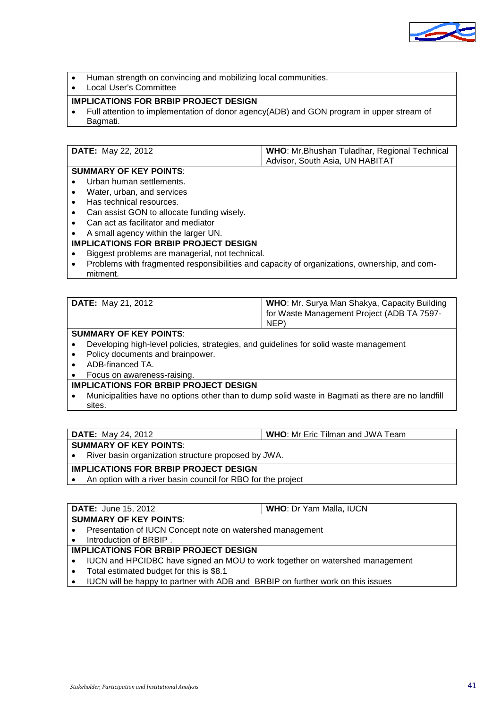

- Human strength on convincing and mobilizing local communities.
- Local User's Committee

### **IMPLICATIONS FOR BRBIP PROJECT DESIGN**

• Full attention to implementation of donor agency(ADB) and GON program in upper stream of Bagmati.

| <b>DATE:</b> May 22, 2012 | WHO: Mr.Bhushan Tuladhar, Regional Technical |
|---------------------------|----------------------------------------------|
|                           | Advisor, South Asia, UN HABITAT              |

# **SUMMARY OF KEY POINTS**:

- Urban human settlements.
- Water, urban, and services
- Has technical resources.
- Can assist GON to allocate funding wisely.
- Can act as facilitator and mediator

# • A small agency within the larger UN.

# **IMPLICATIONS FOR BRBIP PROJECT DESIGN**

- Biggest problems are managerial, not technical.
- Problems with fragmented responsibilities and capacity of organizations, ownership, and commitment.

| <b>DATE:</b> May 21, 2012 | <b>WHO:</b> Mr. Surya Man Shakya, Capacity Building |
|---------------------------|-----------------------------------------------------|
|                           | for Waste Management Project (ADB TA 7597-          |
|                           | NEP)                                                |

#### **SUMMARY OF KEY POINTS**:

- Developing high-level policies, strategies, and guidelines for solid waste management
- Policy documents and brainpower.
- ADB-financed TA.
- Focus on awareness-raising.

### **IMPLICATIONS FOR BRBIP PROJECT DESIGN**

• Municipalities have no options other than to dump solid waste in Bagmati as there are no landfill sites.

#### **SUMMARY OF KEY POINTS**:

• River basin organization structure proposed by JWA.

#### **IMPLICATIONS FOR BRBIP PROJECT DESIGN**

• An option with a river basin council for RBO for the project

#### **DATE:** June 15, 2012 **WHO**: Dr Yam Malla, IUCN **SUMMARY OF KEY POINTS**:

- Presentation of IUCN Concept note on watershed management
- Introduction of BRBIP .

#### **IMPLICATIONS FOR BRBIP PROJECT DESIGN**

- IUCN and HPCIDBC have signed an MOU to work together on watershed management
- Total estimated budget for this is \$8.1
- IUCN will be happy to partner with ADB and BRBIP on further work on this issues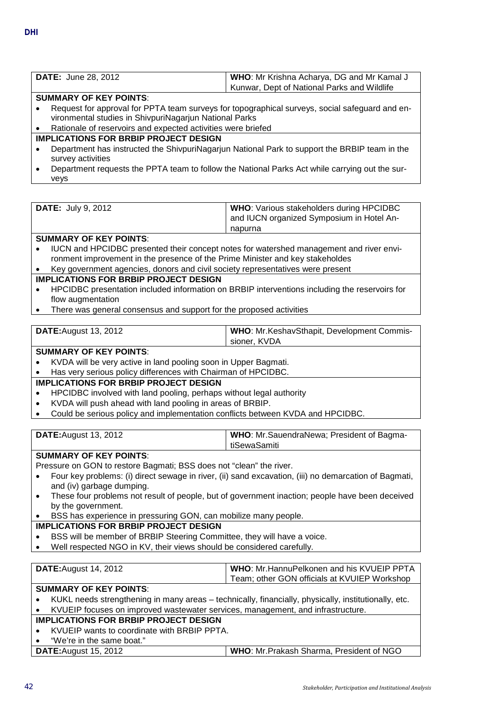| <b>DATE:</b> June 28, 2012 | WHO: Mr Krishna Acharya, DG and Mr Kamal J  |
|----------------------------|---------------------------------------------|
|                            | Kunwar, Dept of National Parks and Wildlife |
| CUBBLANTY OF IZEY BOILITO. |                                             |

#### **SUMMARY OF KEY POINTS**:

- Request for approval for PPTA team surveys for topographical surveys, social safeguard and environmental studies in ShivpuriNagarjun National Parks
- Rationale of reservoirs and expected activities were briefed

# **IMPLICATIONS FOR BRBIP PROJECT DESIGN**

- Department has instructed the ShivpuriNagarjun National Park to support the BRBIP team in the survey activities
- Department requests the PPTA team to follow the National Parks Act while carrying out the surveys

| <b>DATE:</b> July 9, 2012 | <b>WHO:</b> Various stakeholders during HPCIDBC<br>and IUCN organized Symposium in Hotel An- |  |
|---------------------------|----------------------------------------------------------------------------------------------|--|
|                           | napurna                                                                                      |  |

#### **SUMMARY OF KEY POINTS**:

- IUCN and HPCIDBC presented their concept notes for watershed management and river environment improvement in the presence of the Prime Minister and key stakeholdes
- Key government agencies, donors and civil society representatives were present

#### **IMPLICATIONS FOR BRBIP PROJECT DESIGN**

- HPCIDBC presentation included information on BRBIP interventions including the reservoirs for flow augmentation
- There was general consensus and support for the proposed activities

| <b>DATE:</b> August 13, 2012 | <b>WHO: Mr. KeshavSthapit, Development Commis-</b> |  |
|------------------------------|----------------------------------------------------|--|
|                              | sioner. KVDA                                       |  |
|                              |                                                    |  |

#### **SUMMARY OF KEY POINTS**:

- KVDA will be very active in land pooling soon in Upper Bagmati.
- Has very serious policy differences with Chairman of HPCIDBC.

#### **IMPLICATIONS FOR BRBIP PROJECT DESIGN**

- HPCIDBC involved with land pooling, perhaps without legal authority
- KVDA will push ahead with land pooling in areas of BRBIP.
- Could be serious policy and implementation conflicts between KVDA and HPCIDBC.

| <b>DATE:</b> August 13, 2012 | <b>WHO:</b> Mr. Sauendra Newa; President of Bagma-<br><b>tiSewaSamiti</b> |
|------------------------------|---------------------------------------------------------------------------|
| CHMMADV AE KEV DAINTS.       |                                                                           |

#### **SUMMARY OF KEY POINTS**:

Pressure on GON to restore Bagmati; BSS does not "clean" the river.

- Four key problems: (i) direct sewage in river, (ii) sand excavation, (iii) no demarcation of Bagmati, and (iv) garbage dumping.
- These four problems not result of people, but of government inaction; people have been deceived by the government.
- BSS has experience in pressuring GON, can mobilize many people.

#### **IMPLICATIONS FOR BRBIP PROJECT DESIGN**

- BSS will be member of BRBIP Steering Committee, they will have a voice.
- Well respected NGO in KV, their views should be considered carefully.

| <b>WHO:</b> Mr. HannuPelkonen and his KVUEIP PPTA<br><b>DATE:</b> August 14, 2012                    |                                              |  |  |
|------------------------------------------------------------------------------------------------------|----------------------------------------------|--|--|
|                                                                                                      | Team; other GON officials at KVUIEP Workshop |  |  |
| <b>SUMMARY OF KEY POINTS:</b>                                                                        |                                              |  |  |
| KUKL needs strengthening in many areas - technically, financially, physically, institutionally, etc. |                                              |  |  |
| KVUEIP focuses on improved wastewater services, management, and infrastructure.                      |                                              |  |  |
| -- ----- -- - ---- - <i>-</i> ---                                                                    |                                              |  |  |

# **IMPLICATIONS FOR BRBIP PROJECT DESIGN**

• KVUEIP wants to coordinate with BRBIP PPTA. • "We're in the same boat."

**DATE:**August 15, 2012 **WHO**: Mr.Prakash Sharma, President of NGO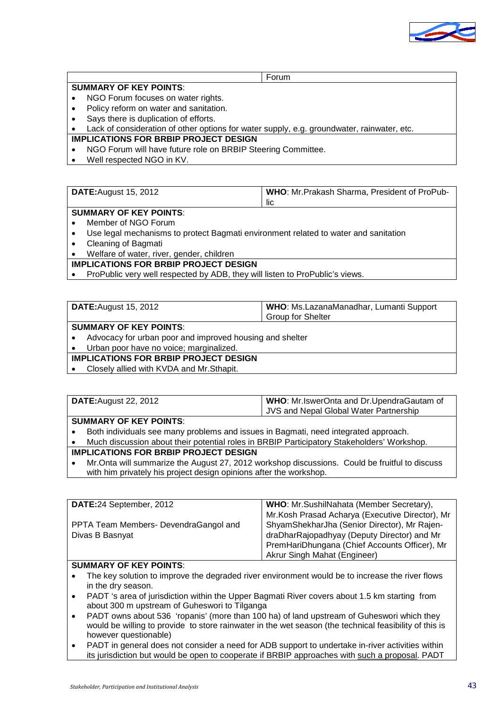

|                        | Forum |
|------------------------|-------|
| SUMMARY OF KEY POINTS: |       |

- NGO Forum focuses on water rights.
- Policy reform on water and sanitation.
- Says there is duplication of efforts.
- Lack of consideration of other options for water supply, e.g. groundwater, rainwater, etc.

#### **IMPLICATIONS FOR BRBIP PROJECT DESIGN**

- NGO Forum will have future role on BRBIP Steering Committee.
- Well respected NGO in KV.

 $\mathsf{r}$ 

| DATE: August 15, 2012 | <b>WHO:</b> Mr. Prakash Sharma, President of ProPub- |
|-----------------------|------------------------------------------------------|
|                       | -lic                                                 |
|                       |                                                      |

#### **SUMMARY OF KEY POINTS**:

- Member of NGO Forum
- Use legal mechanisms to protect Bagmati environment related to water and sanitation
- Cleaning of Bagmati
- Welfare of water, river, gender, children

#### **IMPLICATIONS FOR BRBIP PROJECT DESIGN**

• ProPublic very well respected by ADB, they will listen to ProPublic's views.

|                               | WHO: Ms.LazanaManadhar, Lumanti Support<br><b>DATE:</b> August 15, 2012 |                          |  |
|-------------------------------|-------------------------------------------------------------------------|--------------------------|--|
|                               |                                                                         | <b>Group for Shelter</b> |  |
| <b>SUMMARY OF KEY POINTS:</b> |                                                                         |                          |  |
|                               | Advocacy for urban poor and improved housing and shelter                |                          |  |
|                               | Urban poor have no voice; marginalized.                                 |                          |  |

### **IMPLICATIONS FOR BRBIP PROJECT DESIGN**

• Closely allied with KVDA and Mr.Sthapit.

| <b>DATE:</b> August 22, 2012 | WHO: Mr.IswerOnta and Dr.UpendraGautam of |
|------------------------------|-------------------------------------------|
|                              | JVS and Nepal Global Water Partnership    |

#### **SUMMARY OF KEY POINTS**:

• Both individuals see many problems and issues in Bagmati, need integrated approach.

• Much discussion about their potential roles in BRBIP Participatory Stakeholders' Workshop.

# **IMPLICATIONS FOR BRBIP PROJECT DESIGN**

• Mr.Onta will summarize the August 27, 2012 workshop discussions. Could be fruitful to discuss with him privately his project design opinions after the workshop.

| DATE:24 September, 2012                | WHO: Mr.SushilNahata (Member Secretary),        |  |
|----------------------------------------|-------------------------------------------------|--|
|                                        | Mr.Kosh Prasad Acharya (Executive Director), Mr |  |
| PPTA Team Members- Devendra Gangol and | ShyamShekharJha (Senior Director), Mr Rajen-    |  |
| Divas B Basnyat                        | draDharRajopadhyay (Deputy Director) and Mr     |  |
|                                        | PremHariDhungana (Chief Accounts Officer), Mr   |  |
|                                        | Akrur Singh Mahat (Engineer)                    |  |

#### **SUMMARY OF KEY POINTS**:

- The key solution to improve the degraded river environment would be to increase the river flows in the dry season.
- PADT 's area of jurisdiction within the Upper Bagmati River covers about 1.5 km starting from about 300 m upstream of Guheswori to Tilganga
- PADT owns about 536 'ropanis' (more than 100 ha) of land upstream of Guheswori which they would be willing to provide to store rainwater in the wet season (the technical feasibility of this is however questionable)
- PADT in general does not consider a need for ADB support to undertake in-river activities within its jurisdiction but would be open to cooperate if BRBIP approaches with such a proposal. PADT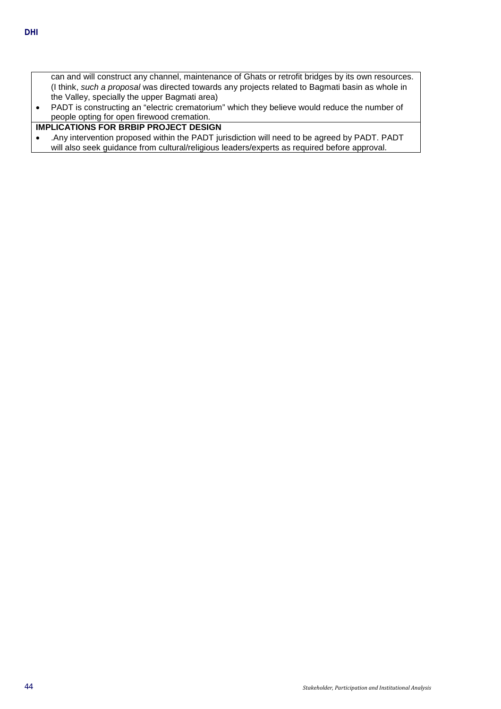- can and will construct any channel, maintenance of Ghats or retrofit bridges by its own resources. (I think, *such a proposal* was directed towards any projects related to Bagmati basin as whole in the Valley, specially the upper Bagmati area)
- PADT is constructing an "electric crematorium" which they believe would reduce the number of people opting for open firewood cremation.

# **IMPLICATIONS FOR BRBIP PROJECT DESIGN**

• .Any intervention proposed within the PADT jurisdiction will need to be agreed by PADT. PADT will also seek guidance from cultural/religious leaders/experts as required before approval.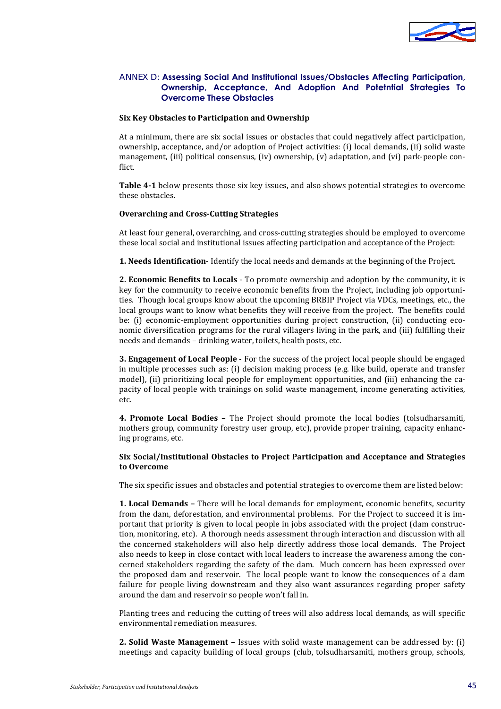

#### <span id="page-48-0"></span>ANNEX D: **Assessing Social And Institutional Issues/Obstacles Affecting Participation, Ownership, Acceptance, And Adoption And Potetntial Strategies To Overcome These Obstacles**

#### **Six Key Obstacles to Participation and Ownership**

At a minimum, there are six social issues or obstacles that could negatively affect participation, ownership, acceptance, and/or adoption of Project activities: (i) local demands, (ii) solid waste management, (iii) political consensus, (iv) ownership, (v) adaptation, and (vi) park-people conflict.

**[Table 4-1](#page-49-0)** below presents those six key issues, and also shows potential strategies to overcome these obstacles.

#### **Overarching and Cross-Cutting Strategies**

At least four general, overarching, and cross-cutting strategies should be employed to overcome these local social and institutional issues affecting participation and acceptance of the Project:

**1. Needs Identification**- Identify the local needs and demands at the beginning of the Project.

**2. Economic Benefits to Locals** - To promote ownership and adoption by the community, it is key for the community to receive economic benefits from the Project, including job opportunities. Though local groups know about the upcoming BRBIP Project via VDCs, meetings, etc., the local groups want to know what benefits they will receive from the project. The benefits could be: (i) economic-employment opportunities during project construction, (ii) conducting economic diversification programs for the rural villagers living in the park, and (iii) fulfilling their needs and demands – drinking water, toilets, health posts, etc.

**3. Engagement of Local People** - For the success of the project local people should be engaged in multiple processes such as: (i) decision making process (e.g. like build, operate and transfer model), (ii) prioritizing local people for employment opportunities, and (iii) enhancing the capacity of local people with trainings on solid waste management, income generating activities, etc.

**4. Promote Local Bodies** – The Project should promote the local bodies (tolsudharsamiti, mothers group, community forestry user group, etc), provide proper training, capacity enhancing programs, etc.

#### **Six Social/Institutional Obstacles to Project Participation and Acceptance and Strategies to Overcome**

The six specific issues and obstacles and potential strategies to overcome them are listed below:

**1. Local Demands –** There will be local demands for employment, economic benefits, security from the dam, deforestation, and environmental problems. For the Project to succeed it is important that priority is given to local people in jobs associated with the project (dam construction, monitoring, etc). A thorough needs assessment through interaction and discussion with all the concerned stakeholders will also help directly address those local demands. The Project also needs to keep in close contact with local leaders to increase the awareness among the concerned stakeholders regarding the safety of the dam. Much concern has been expressed over the proposed dam and reservoir. The local people want to know the consequences of a dam failure for people living downstream and they also want assurances regarding proper safety around the dam and reservoir so people won't fall in.

Planting trees and reducing the cutting of trees will also address local demands, as will specific environmental remediation measures.

**2. Solid Waste Management –** Issues with solid waste management can be addressed by: (i) meetings and capacity building of local groups (club, tolsudharsamiti, mothers group, schools,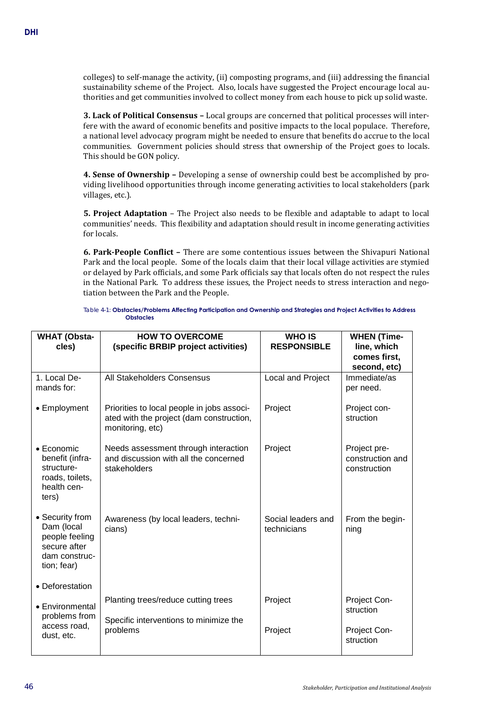colleges) to self-manage the activity, (ii) composting programs, and (iii) addressing the financial sustainability scheme of the Project. Also, locals have suggested the Project encourage local authorities and get communities involved to collect money from each house to pick up solid waste.

**3. Lack of Political Consensus –** Local groups are concerned that political processes will interfere with the award of economic benefits and positive impacts to the local populace. Therefore, a national level advocacy program might be needed to ensure that benefits do accrue to the local communities. Government policies should stress that ownership of the Project goes to locals. This should be GON policy.

**4. Sense of Ownership –** Developing a sense of ownership could best be accomplished by providing livelihood opportunities through income generating activities to local stakeholders (park villages, etc.).

**5. Project Adaptation** – The Project also needs to be flexible and adaptable to adapt to local communities' needs. This flexibility and adaptation should result in income generating activities for locals.

**6. Park-People Conflict –** There are some contentious issues between the Shivapuri National Park and the local people. Some of the locals claim that their local village activities are stymied or delayed by Park officials, and some Park officials say that locals often do not respect the rules in the National Park. To address these issues, the Project needs to stress interaction and negotiation between the Park and the People.

Table 4-1: **Obstacles/Problems Affecting Participation and Ownership and Strategies and Project Activities to Address Obstacles**

<span id="page-49-0"></span>

| <b>WHAT (Obsta-</b><br>cles)                                                                    | <b>HOW TO OVERCOME</b><br>(specific BRBIP project activities)                                              | <b>WHO IS</b><br><b>RESPONSIBLE</b> | <b>WHEN (Time-</b><br>line, which<br>comes first,<br>second, etc) |
|-------------------------------------------------------------------------------------------------|------------------------------------------------------------------------------------------------------------|-------------------------------------|-------------------------------------------------------------------|
| 1. Local De-<br>mands for:                                                                      | All Stakeholders Consensus                                                                                 | Local and Project                   | Immediate/as<br>per need.                                         |
| • Employment                                                                                    | Priorities to local people in jobs associ-<br>ated with the project (dam construction,<br>monitoring, etc) | Project                             | Project con-<br>struction                                         |
| $\bullet$ Economic<br>benefit (infra-<br>structure-<br>roads, toilets,<br>health cen-<br>ters)  | Needs assessment through interaction<br>and discussion with all the concerned<br>stakeholders              | Project                             | Project pre-<br>construction and<br>construction                  |
| • Security from<br>Dam (local<br>people feeling<br>secure after<br>dam construc-<br>tion; fear) | Awareness (by local leaders, techni-<br>cians)                                                             | Social leaders and<br>technicians   | From the begin-<br>ning                                           |
| • Deforestation<br>• Environmental<br>problems from<br>access road,<br>dust, etc.               | Planting trees/reduce cutting trees<br>Specific interventions to minimize the<br>problems                  | Project<br>Project                  | Project Con-<br>struction<br>Project Con-                         |
|                                                                                                 |                                                                                                            |                                     | struction                                                         |